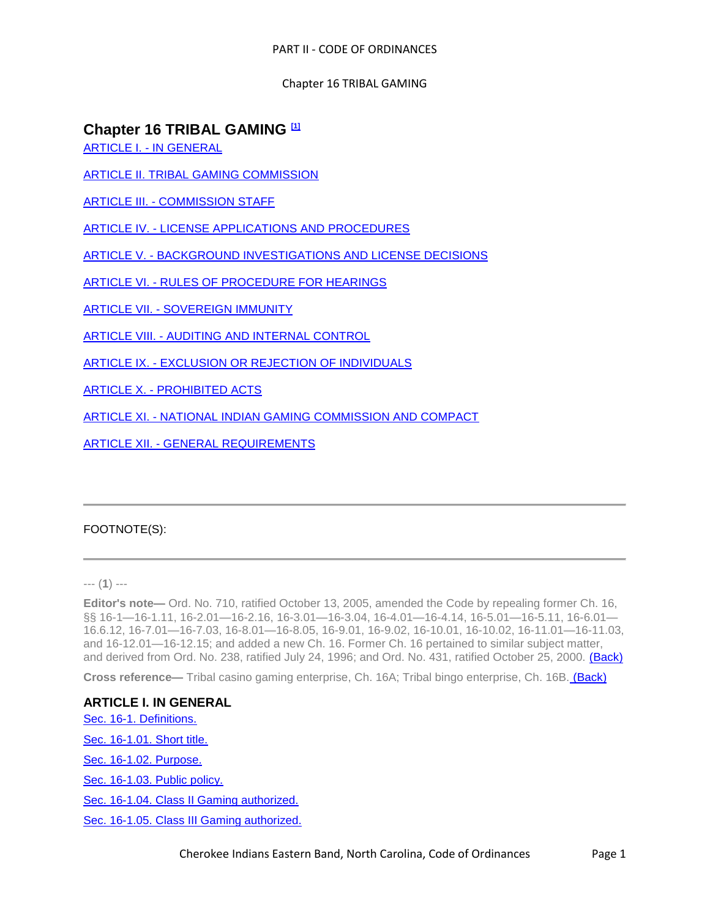# **Chapter 16 TRIBAL GAMING [1]**

ARTICLE I. - [IN GENERAL](../level3/PTIICOOR_CH16TRGA_ARTIINGE.docx)

[ARTICLE II. TRIBAL GAMING COMMISSION](../level3/PTIICOOR_CH16TRGA_ARTII._TRIBAL_GAMING_COMMISSION.docx) 

ARTICLE III. - [COMMISSION STAFF](../level3/PTIICOOR_CH16TRGA_ARTIIICOST.docx)

ARTICLE IV. - [LICENSE APPLICATIONS AND PROCEDURES](../level3/PTIICOOR_CH16TRGA_ARTIVLIAPPR.docx)

ARTICLE V. - [BACKGROUND INVESTIGATIONS AND LICENSE DECISIONS](../level3/PTIICOOR_CH16TRGA_ARTVBAINLIDE.docx)

ARTICLE VI. - [RULES OF PROCEDURE FOR HEARINGS](../level3/PTIICOOR_CH16TRGA_ARTVIRUPRHE.docx)

ARTICLE VII. - [SOVEREIGN IMMUNITY](../level3/PTIICOOR_CH16TRGA_ARTVIISOIM.docx)

ARTICLE VIII. - [AUDITING AND INTERNAL CONTROL](../level3/PTIICOOR_CH16TRGA_ARTVIIIAUINCO.docx)

ARTICLE IX. - [EXCLUSION OR REJECTION OF INDIVIDUALS](../level3/PTIICOOR_CH16TRGA_ARTIXEXREIN.docx) 

ARTICLE X. - [PROHIBITED ACTS](../level3/PTIICOOR_CH16TRGA_ARTXPRAC.docx)

ARTICLE XI. - [NATIONAL INDIAN GAMING COMMISSION AND COMPACT](../level3/PTIICOOR_CH16TRGA_ARTXINAINGACOCO.docx)

ARTICLE XII. - [GENERAL REQUIREMENTS](../level3/PTIICOOR_CH16TRGA_ARTXIIGERE.docx)

# FOOTNOTE(S):

--- (**1**) ---

**Editor's note—** Ord. No. 710, ratified October 13, 2005, amended the Code by repealing former Ch. 16, §§ 16-1—16-1.11, 16-2.01—16-2.16, 16-3.01—16-3.04, 16-4.01—16-4.14, 16-5.01—16-5.11, 16-6.01— 16.6.12, 16-7.01—16-7.03, 16-8.01—16-8.05, 16-9.01, 16-9.02, 16-10.01, 16-10.02, 16-11.01—16-11.03, and 16-12.01—16-12.15; and added a new Ch. 16. Former Ch. 16 pertained to similar subject matter, and derived from Ord. No. 238, ratified July 24, 1996; and Ord. No. 431, ratified October 25, 2000. (Back)

**Cross reference—** Tribal casino gaming enterprise, Ch. 16A; Tribal bingo enterprise, Ch. 16B. (Back)

**ARTICLE I. IN GENERAL** [Sec. 16-1. Definitions.](#page-1-0) [Sec. 16-1.01. Short title.](#page-4-0) [Sec. 16-1.02. Purpose.](#page-4-1) [Sec. 16-1.03. Public policy.](#page-5-0) [Sec. 16-1.04. Class II Gaming authorized.](#page-5-1) [Sec. 16-1.05. Class III Gaming authorized.](#page-5-2)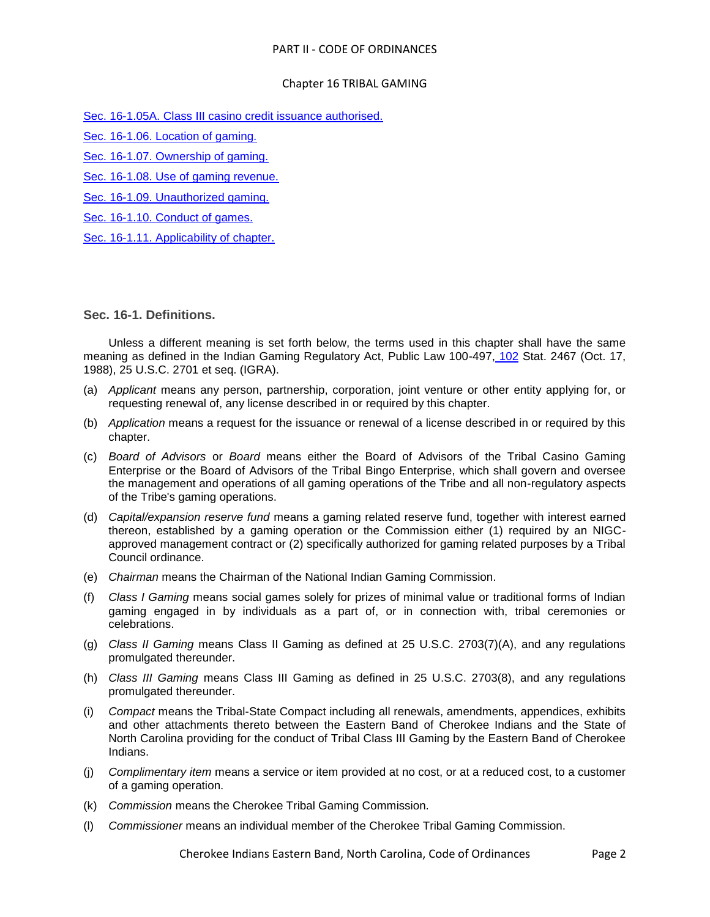## Chapter 16 TRIBAL GAMING

- [Sec. 16-1.05A. Class III casino credit issuance authorised.](#page-5-3)
- [Sec. 16-1.06. Location of gaming.](#page-5-4)
- [Sec. 16-1.07. Ownership of gaming.](#page-6-0)
- [Sec. 16-1.08. Use of gaming revenue.](#page-6-1)
- [Sec. 16-1.09. Unauthorized gaming.](#page-6-2)
- [Sec. 16-1.10. Conduct of games.](#page-6-3)
- [Sec. 16-1.11. Applicability of chapter.](#page-7-0)

<span id="page-1-0"></span>**Sec. 16-1. Definitions.**

Unless a different meaning is set forth below, the terms used in this chapter shall have the same meaning as defined in the Indian Gaming Regulatory Act, Public Law 100-497, [102](../level2/PTIICOOR_CH102LASU.docx#PTIICOOR_CH102LASU) Stat. 2467 (Oct. 17, 1988), 25 U.S.C. 2701 et seq. (IGRA).

- (a) *Applicant* means any person, partnership, corporation, joint venture or other entity applying for, or requesting renewal of, any license described in or required by this chapter.
- (b) *Application* means a request for the issuance or renewal of a license described in or required by this chapter.
- (c) *Board of Advisors* or *Board* means either the Board of Advisors of the Tribal Casino Gaming Enterprise or the Board of Advisors of the Tribal Bingo Enterprise, which shall govern and oversee the management and operations of all gaming operations of the Tribe and all non-regulatory aspects of the Tribe's gaming operations.
- (d) *Capital/expansion reserve fund* means a gaming related reserve fund, together with interest earned thereon, established by a gaming operation or the Commission either (1) required by an NIGCapproved management contract or (2) specifically authorized for gaming related purposes by a Tribal Council ordinance.
- (e) *Chairman* means the Chairman of the National Indian Gaming Commission.
- (f) *Class I Gaming* means social games solely for prizes of minimal value or traditional forms of Indian gaming engaged in by individuals as a part of, or in connection with, tribal ceremonies or celebrations.
- (g) *Class II Gaming* means Class II Gaming as defined at 25 U.S.C. 2703(7)(A), and any regulations promulgated thereunder.
- (h) *Class III Gaming* means Class III Gaming as defined in 25 U.S.C. 2703(8), and any regulations promulgated thereunder.
- (i) *Compact* means the Tribal-State Compact including all renewals, amendments, appendices, exhibits and other attachments thereto between the Eastern Band of Cherokee Indians and the State of North Carolina providing for the conduct of Tribal Class III Gaming by the Eastern Band of Cherokee Indians.
- (j) *Complimentary item* means a service or item provided at no cost, or at a reduced cost, to a customer of a gaming operation.
- (k) *Commission* means the Cherokee Tribal Gaming Commission.
- (l) *Commissioner* means an individual member of the Cherokee Tribal Gaming Commission.

Cherokee Indians Eastern Band, North Carolina, Code of Ordinances Page 2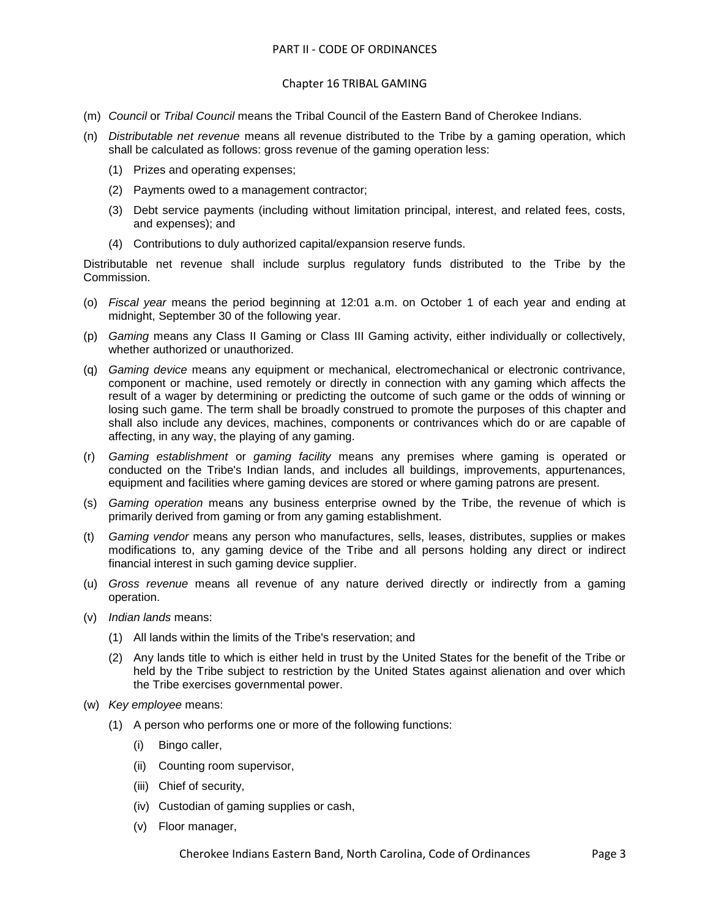#### Chapter 16 TRIBAL GAMING

- (m) *Council* or *Tribal Council* means the Tribal Council of the Eastern Band of Cherokee Indians.
- (n) *Distributable net revenue* means all revenue distributed to the Tribe by a gaming operation, which shall be calculated as follows: gross revenue of the gaming operation less:
	- (1) Prizes and operating expenses;
	- (2) Payments owed to a management contractor;
	- (3) Debt service payments (including without limitation principal, interest, and related fees, costs, and expenses); and
	- (4) Contributions to duly authorized capital/expansion reserve funds.

Distributable net revenue shall include surplus regulatory funds distributed to the Tribe by the Commission.

- (o) *Fiscal year* means the period beginning at 12:01 a.m. on October 1 of each year and ending at midnight, September 30 of the following year.
- (p) *Gaming* means any Class II Gaming or Class III Gaming activity, either individually or collectively, whether authorized or unauthorized.
- (q) *Gaming device* means any equipment or mechanical, electromechanical or electronic contrivance, component or machine, used remotely or directly in connection with any gaming which affects the result of a wager by determining or predicting the outcome of such game or the odds of winning or losing such game. The term shall be broadly construed to promote the purposes of this chapter and shall also include any devices, machines, components or contrivances which do or are capable of affecting, in any way, the playing of any gaming.
- (r) *Gaming establishment* or *gaming facility* means any premises where gaming is operated or conducted on the Tribe's Indian lands, and includes all buildings, improvements, appurtenances, equipment and facilities where gaming devices are stored or where gaming patrons are present.
- (s) *Gaming operation* means any business enterprise owned by the Tribe, the revenue of which is primarily derived from gaming or from any gaming establishment.
- (t) *Gaming vendor* means any person who manufactures, sells, leases, distributes, supplies or makes modifications to, any gaming device of the Tribe and all persons holding any direct or indirect financial interest in such gaming device supplier.
- (u) *Gross revenue* means all revenue of any nature derived directly or indirectly from a gaming operation.
- (v) *Indian lands* means:
	- (1) All lands within the limits of the Tribe's reservation; and
	- (2) Any lands title to which is either held in trust by the United States for the benefit of the Tribe or held by the Tribe subject to restriction by the United States against alienation and over which the Tribe exercises governmental power.
- (w) *Key employee* means:
	- (1) A person who performs one or more of the following functions:
		- (i) Bingo caller,
		- (ii) Counting room supervisor,
		- (iii) Chief of security,
		- (iv) Custodian of gaming supplies or cash,
		- (v) Floor manager,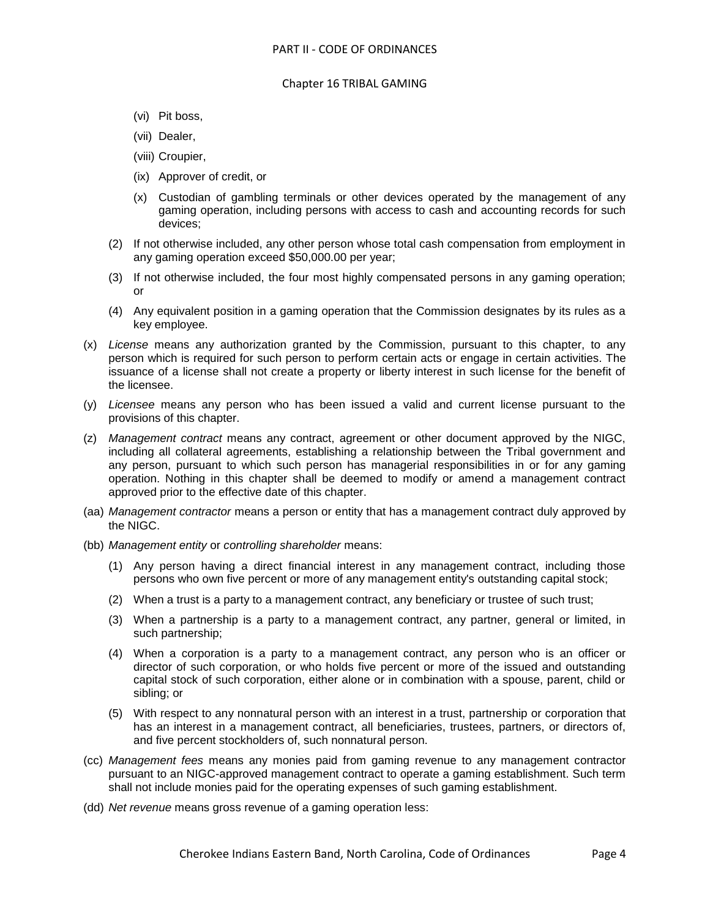- (vi) Pit boss,
- (vii) Dealer,
- (viii) Croupier,
- (ix) Approver of credit, or
- (x) Custodian of gambling terminals or other devices operated by the management of any gaming operation, including persons with access to cash and accounting records for such devices;
- (2) If not otherwise included, any other person whose total cash compensation from employment in any gaming operation exceed \$50,000.00 per year;
- (3) If not otherwise included, the four most highly compensated persons in any gaming operation; or
- (4) Any equivalent position in a gaming operation that the Commission designates by its rules as a key employee.
- (x) *License* means any authorization granted by the Commission, pursuant to this chapter, to any person which is required for such person to perform certain acts or engage in certain activities. The issuance of a license shall not create a property or liberty interest in such license for the benefit of the licensee.
- (y) *Licensee* means any person who has been issued a valid and current license pursuant to the provisions of this chapter.
- (z) *Management contract* means any contract, agreement or other document approved by the NIGC, including all collateral agreements, establishing a relationship between the Tribal government and any person, pursuant to which such person has managerial responsibilities in or for any gaming operation. Nothing in this chapter shall be deemed to modify or amend a management contract approved prior to the effective date of this chapter.
- (aa) *Management contractor* means a person or entity that has a management contract duly approved by the NIGC.
- (bb) *Management entity* or *controlling shareholder* means:
	- (1) Any person having a direct financial interest in any management contract, including those persons who own five percent or more of any management entity's outstanding capital stock;
	- (2) When a trust is a party to a management contract, any beneficiary or trustee of such trust;
	- (3) When a partnership is a party to a management contract, any partner, general or limited, in such partnership;
	- (4) When a corporation is a party to a management contract, any person who is an officer or director of such corporation, or who holds five percent or more of the issued and outstanding capital stock of such corporation, either alone or in combination with a spouse, parent, child or sibling; or
	- (5) With respect to any nonnatural person with an interest in a trust, partnership or corporation that has an interest in a management contract, all beneficiaries, trustees, partners, or directors of, and five percent stockholders of, such nonnatural person.
- (cc) *Management fees* means any monies paid from gaming revenue to any management contractor pursuant to an NIGC-approved management contract to operate a gaming establishment. Such term shall not include monies paid for the operating expenses of such gaming establishment.
- (dd) *Net revenue* means gross revenue of a gaming operation less: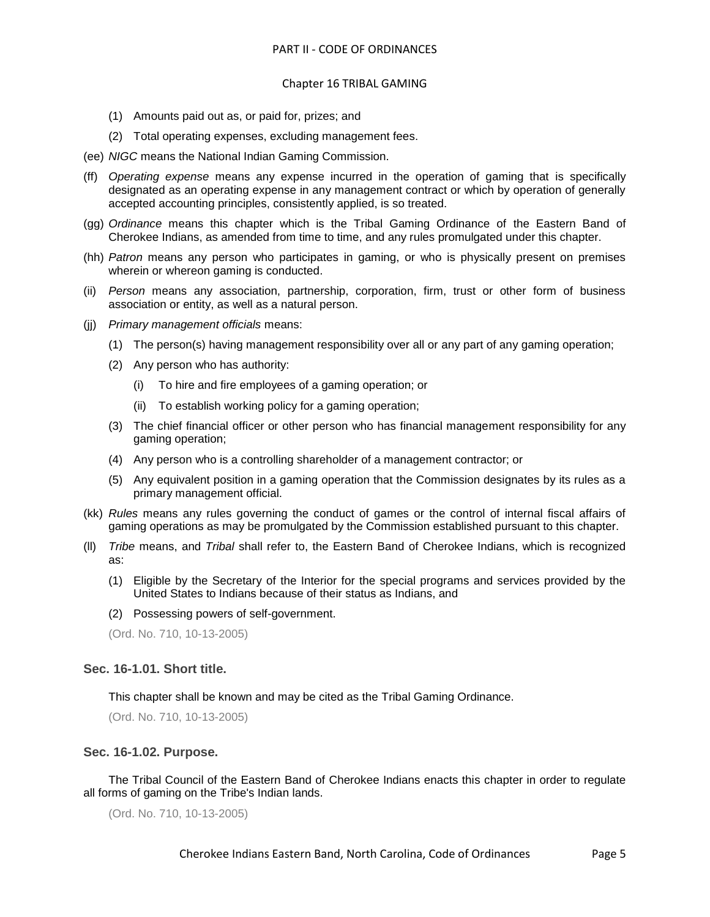- (1) Amounts paid out as, or paid for, prizes; and
- (2) Total operating expenses, excluding management fees.
- (ee) *NIGC* means the National Indian Gaming Commission.
- (ff) *Operating expense* means any expense incurred in the operation of gaming that is specifically designated as an operating expense in any management contract or which by operation of generally accepted accounting principles, consistently applied, is so treated.
- (gg) *Ordinance* means this chapter which is the Tribal Gaming Ordinance of the Eastern Band of Cherokee Indians, as amended from time to time, and any rules promulgated under this chapter.
- (hh) *Patron* means any person who participates in gaming, or who is physically present on premises wherein or whereon gaming is conducted.
- (ii) *Person* means any association, partnership, corporation, firm, trust or other form of business association or entity, as well as a natural person.
- (jj) *Primary management officials* means:
	- (1) The person(s) having management responsibility over all or any part of any gaming operation;
	- (2) Any person who has authority:
		- (i) To hire and fire employees of a gaming operation; or
		- (ii) To establish working policy for a gaming operation;
	- (3) The chief financial officer or other person who has financial management responsibility for any gaming operation;
	- (4) Any person who is a controlling shareholder of a management contractor; or
	- (5) Any equivalent position in a gaming operation that the Commission designates by its rules as a primary management official.
- (kk) *Rules* means any rules governing the conduct of games or the control of internal fiscal affairs of gaming operations as may be promulgated by the Commission established pursuant to this chapter.
- (ll) *Tribe* means, and *Tribal* shall refer to, the Eastern Band of Cherokee Indians, which is recognized as:
	- (1) Eligible by the Secretary of the Interior for the special programs and services provided by the United States to Indians because of their status as Indians, and
	- (2) Possessing powers of self-government.

(Ord. No. 710, 10-13-2005)

#### <span id="page-4-0"></span>**Sec. 16-1.01. Short title.**

This chapter shall be known and may be cited as the Tribal Gaming Ordinance.

(Ord. No. 710, 10-13-2005)

#### <span id="page-4-1"></span>**Sec. 16-1.02. Purpose.**

The Tribal Council of the Eastern Band of Cherokee Indians enacts this chapter in order to regulate all forms of gaming on the Tribe's Indian lands.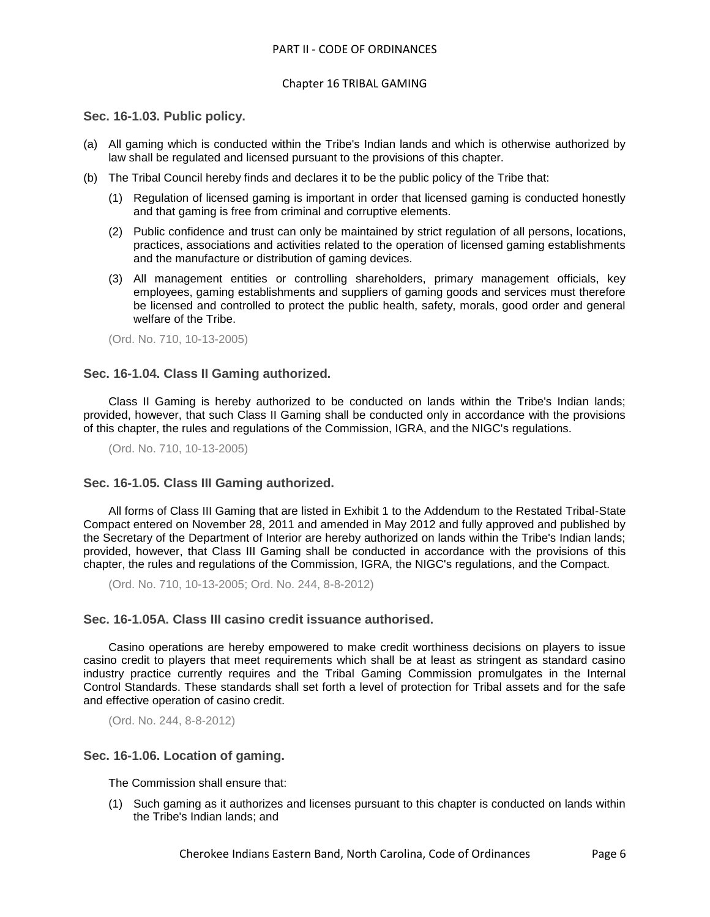#### Chapter 16 TRIBAL GAMING

#### <span id="page-5-0"></span>**Sec. 16-1.03. Public policy.**

- (a) All gaming which is conducted within the Tribe's Indian lands and which is otherwise authorized by law shall be regulated and licensed pursuant to the provisions of this chapter.
- (b) The Tribal Council hereby finds and declares it to be the public policy of the Tribe that:
	- (1) Regulation of licensed gaming is important in order that licensed gaming is conducted honestly and that gaming is free from criminal and corruptive elements.
	- (2) Public confidence and trust can only be maintained by strict regulation of all persons, locations, practices, associations and activities related to the operation of licensed gaming establishments and the manufacture or distribution of gaming devices.
	- (3) All management entities or controlling shareholders, primary management officials, key employees, gaming establishments and suppliers of gaming goods and services must therefore be licensed and controlled to protect the public health, safety, morals, good order and general welfare of the Tribe.

(Ord. No. 710, 10-13-2005)

#### <span id="page-5-1"></span>**Sec. 16-1.04. Class II Gaming authorized.**

Class II Gaming is hereby authorized to be conducted on lands within the Tribe's Indian lands; provided, however, that such Class II Gaming shall be conducted only in accordance with the provisions of this chapter, the rules and regulations of the Commission, IGRA, and the NIGC's regulations.

(Ord. No. 710, 10-13-2005)

#### <span id="page-5-2"></span>**Sec. 16-1.05. Class III Gaming authorized.**

All forms of Class III Gaming that are listed in Exhibit 1 to the Addendum to the Restated Tribal-State Compact entered on November 28, 2011 and amended in May 2012 and fully approved and published by the Secretary of the Department of Interior are hereby authorized on lands within the Tribe's Indian lands; provided, however, that Class III Gaming shall be conducted in accordance with the provisions of this chapter, the rules and regulations of the Commission, IGRA, the NIGC's regulations, and the Compact.

(Ord. No. 710, 10-13-2005; Ord. No. 244, 8-8-2012)

# <span id="page-5-3"></span>**Sec. 16-1.05A. Class III casino credit issuance authorised.**

Casino operations are hereby empowered to make credit worthiness decisions on players to issue casino credit to players that meet requirements which shall be at least as stringent as standard casino industry practice currently requires and the Tribal Gaming Commission promulgates in the Internal Control Standards. These standards shall set forth a level of protection for Tribal assets and for the safe and effective operation of casino credit.

(Ord. No. 244, 8-8-2012)

#### <span id="page-5-4"></span>**Sec. 16-1.06. Location of gaming.**

The Commission shall ensure that:

(1) Such gaming as it authorizes and licenses pursuant to this chapter is conducted on lands within the Tribe's Indian lands; and

Cherokee Indians Eastern Band, North Carolina, Code of Ordinances Page 6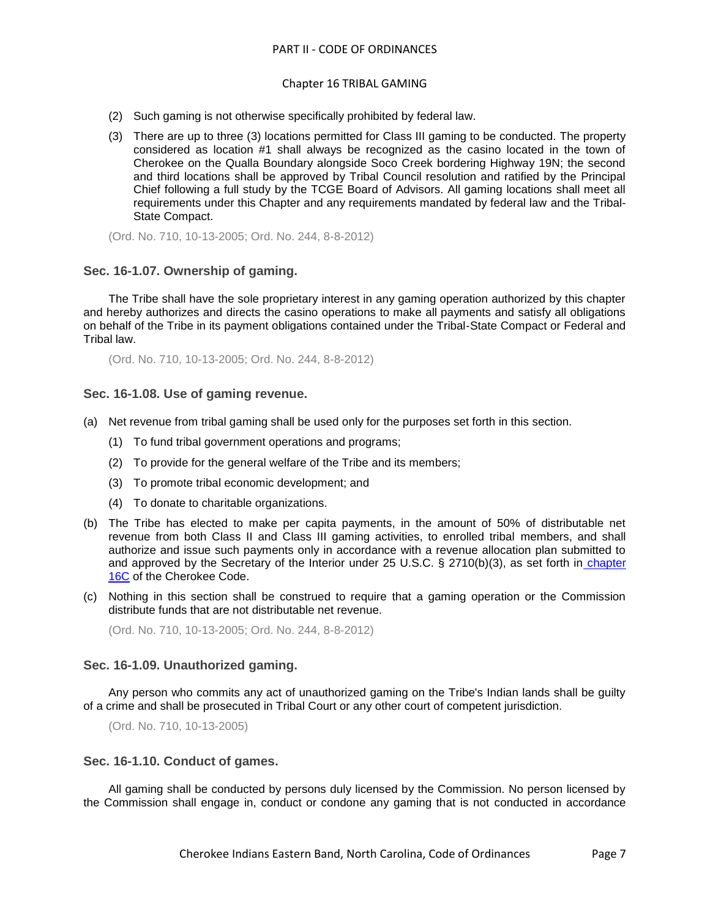#### Chapter 16 TRIBAL GAMING

- (2) Such gaming is not otherwise specifically prohibited by federal law.
- (3) There are up to three (3) locations permitted for Class III gaming to be conducted. The property considered as location #1 shall always be recognized as the casino located in the town of Cherokee on the Qualla Boundary alongside Soco Creek bordering Highway 19N; the second and third locations shall be approved by Tribal Council resolution and ratified by the Principal Chief following a full study by the TCGE Board of Advisors. All gaming locations shall meet all requirements under this Chapter and any requirements mandated by federal law and the Tribal-State Compact.

(Ord. No. 710, 10-13-2005; Ord. No. 244, 8-8-2012)

# <span id="page-6-0"></span>**Sec. 16-1.07. Ownership of gaming.**

The Tribe shall have the sole proprietary interest in any gaming operation authorized by this chapter and hereby authorizes and directs the casino operations to make all payments and satisfy all obligations on behalf of the Tribe in its payment obligations contained under the Tribal-State Compact or Federal and Tribal law.

(Ord. No. 710, 10-13-2005; Ord. No. 244, 8-8-2012)

## <span id="page-6-1"></span>**Sec. 16-1.08. Use of gaming revenue.**

- (a) Net revenue from tribal gaming shall be used only for the purposes set forth in this section.
	- (1) To fund tribal government operations and programs;
	- (2) To provide for the general welfare of the Tribe and its members;
	- (3) To promote tribal economic development; and
	- (4) To donate to charitable organizations.
- (b) The Tribe has elected to make per capita payments, in the amount of 50% of distributable net revenue from both Class II and Class III gaming activities, to enrolled tribal members, and shall authorize and issue such payments only in accordance with a revenue allocation plan submitted to and approved by the Secretary of the Interior under 25 U.S.C. § 2710(b)(3), as set forth in [chapter](../level2/PTIICOOR_CH16CGAREALPL.docx#PTIICOOR_CH16CGAREALPL)  [16C](../level2/PTIICOOR_CH16CGAREALPL.docx#PTIICOOR_CH16CGAREALPL) of the Cherokee Code.
- (c) Nothing in this section shall be construed to require that a gaming operation or the Commission distribute funds that are not distributable net revenue.

(Ord. No. 710, 10-13-2005; Ord. No. 244, 8-8-2012)

#### <span id="page-6-2"></span>**Sec. 16-1.09. Unauthorized gaming.**

Any person who commits any act of unauthorized gaming on the Tribe's Indian lands shall be guilty of a crime and shall be prosecuted in Tribal Court or any other court of competent jurisdiction.

(Ord. No. 710, 10-13-2005)

#### <span id="page-6-3"></span>**Sec. 16-1.10. Conduct of games.**

All gaming shall be conducted by persons duly licensed by the Commission. No person licensed by the Commission shall engage in, conduct or condone any gaming that is not conducted in accordance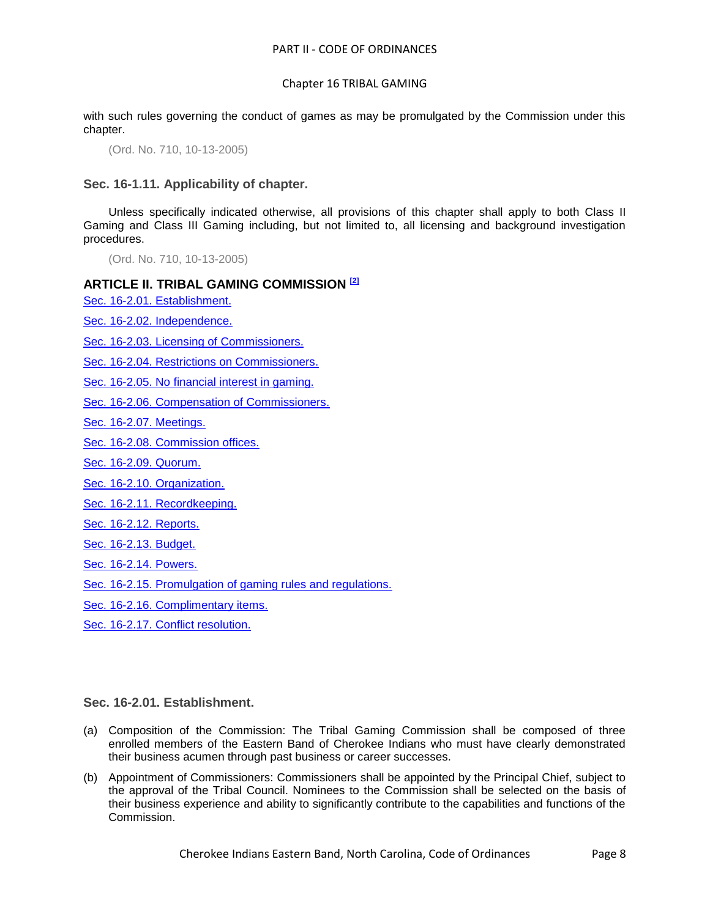with such rules governing the conduct of games as may be promulgated by the Commission under this chapter.

(Ord. No. 710, 10-13-2005)

<span id="page-7-0"></span>**Sec. 16-1.11. Applicability of chapter.**

Unless specifically indicated otherwise, all provisions of this chapter shall apply to both Class II Gaming and Class III Gaming including, but not limited to, all licensing and background investigation procedures.

(Ord. No. 710, 10-13-2005)

## **ARTICLE II. TRIBAL GAMING COMMISSION [2]**

[Sec. 16-2.01. Establishment.](#page-7-1)

[Sec. 16-2.02. Independence.](#page-8-0)

Sec. [16-2.03. Licensing of Commissioners.](#page-8-1)

[Sec. 16-2.04. Restrictions on Commissioners.](#page-9-0)

[Sec. 16-2.05. No financial interest in gaming.](#page-9-1)

[Sec. 16-2.06. Compensation of Commissioners.](#page-10-0)

[Sec. 16-2.07. Meetings.](#page-10-1)

[Sec. 16-2.08. Commission offices.](#page-10-2)

[Sec. 16-2.09. Quorum.](#page-10-3)

[Sec. 16-2.10. Organization.](#page-10-4)

[Sec. 16-2.11. Recordkeeping.](#page-11-0)

[Sec. 16-2.12. Reports.](#page-11-1)

[Sec. 16-2.13. Budget.](#page-12-0)

[Sec. 16-2.14. Powers.](#page-13-0)

[Sec. 16-2.15. Promulgation of gaming rules and regulations.](#page-14-0)

[Sec. 16-2.16. Complimentary items.](#page-14-1)

[Sec. 16-2.17. Conflict resolution.](#page-15-0)

## <span id="page-7-1"></span>**Sec. 16-2.01. Establishment.**

- (a) Composition of the Commission: The Tribal Gaming Commission shall be composed of three enrolled members of the Eastern Band of Cherokee Indians who must have clearly demonstrated their business acumen through past business or career successes.
- (b) Appointment of Commissioners: Commissioners shall be appointed by the Principal Chief, subject to the approval of the Tribal Council. Nominees to the Commission shall be selected on the basis of their business experience and ability to significantly contribute to the capabilities and functions of the Commission.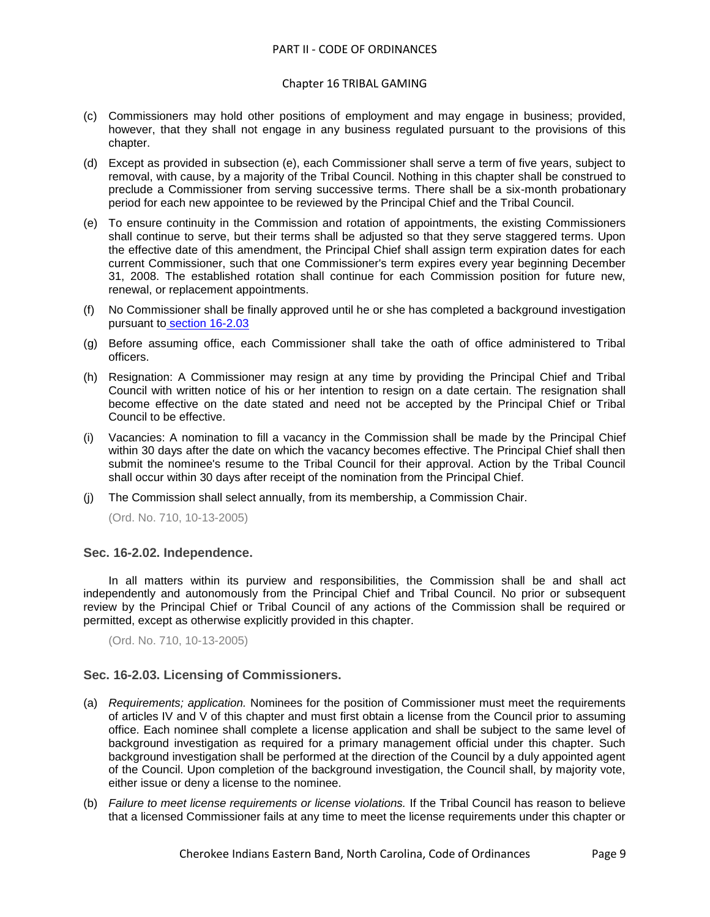#### Chapter 16 TRIBAL GAMING

- (c) Commissioners may hold other positions of employment and may engage in business; provided, however, that they shall not engage in any business regulated pursuant to the provisions of this chapter.
- (d) Except as provided in subsection (e), each Commissioner shall serve a term of five years, subject to removal, with cause, by a majority of the Tribal Council. Nothing in this chapter shall be construed to preclude a Commissioner from serving successive terms. There shall be a six-month probationary period for each new appointee to be reviewed by the Principal Chief and the Tribal Council.
- (e) To ensure continuity in the Commission and rotation of appointments, the existing Commissioners shall continue to serve, but their terms shall be adjusted so that they serve staggered terms. Upon the effective date of this amendment, the Principal Chief shall assign term expiration dates for each current Commissioner, such that one Commissioner's term expires every year beginning December 31, 2008. The established rotation shall continue for each Commission position for future new, renewal, or replacement appointments.
- (f) No Commissioner shall be finally approved until he or she has completed a background investigation pursuant to [section 16-2.03](../level3/PTIICOOR_CH16TRGA_ARTII._TRIBAL_GAMING_COMMISSION.docx#PTIICOOR_CH16TRGA_ARTII._TRIBAL_GAMING_COMMISSION_S16-2.03LICO)
- (g) Before assuming office, each Commissioner shall take the oath of office administered to Tribal officers.
- (h) Resignation: A Commissioner may resign at any time by providing the Principal Chief and Tribal Council with written notice of his or her intention to resign on a date certain. The resignation shall become effective on the date stated and need not be accepted by the Principal Chief or Tribal Council to be effective.
- (i) Vacancies: A nomination to fill a vacancy in the Commission shall be made by the Principal Chief within 30 days after the date on which the vacancy becomes effective. The Principal Chief shall then submit the nominee's resume to the Tribal Council for their approval. Action by the Tribal Council shall occur within 30 days after receipt of the nomination from the Principal Chief.
- (j) The Commission shall select annually, from its membership, a Commission Chair.

(Ord. No. 710, 10-13-2005)

#### <span id="page-8-0"></span>**Sec. 16-2.02. Independence.**

In all matters within its purview and responsibilities, the Commission shall be and shall act independently and autonomously from the Principal Chief and Tribal Council. No prior or subsequent review by the Principal Chief or Tribal Council of any actions of the Commission shall be required or permitted, except as otherwise explicitly provided in this chapter.

(Ord. No. 710, 10-13-2005)

# <span id="page-8-1"></span>**Sec. 16-2.03. Licensing of Commissioners.**

- (a) *Requirements; application.* Nominees for the position of Commissioner must meet the requirements of articles IV and V of this chapter and must first obtain a license from the Council prior to assuming office. Each nominee shall complete a license application and shall be subject to the same level of background investigation as required for a primary management official under this chapter. Such background investigation shall be performed at the direction of the Council by a duly appointed agent of the Council. Upon completion of the background investigation, the Council shall, by majority vote, either issue or deny a license to the nominee.
- (b) *Failure to meet license requirements or license violations.* If the Tribal Council has reason to believe that a licensed Commissioner fails at any time to meet the license requirements under this chapter or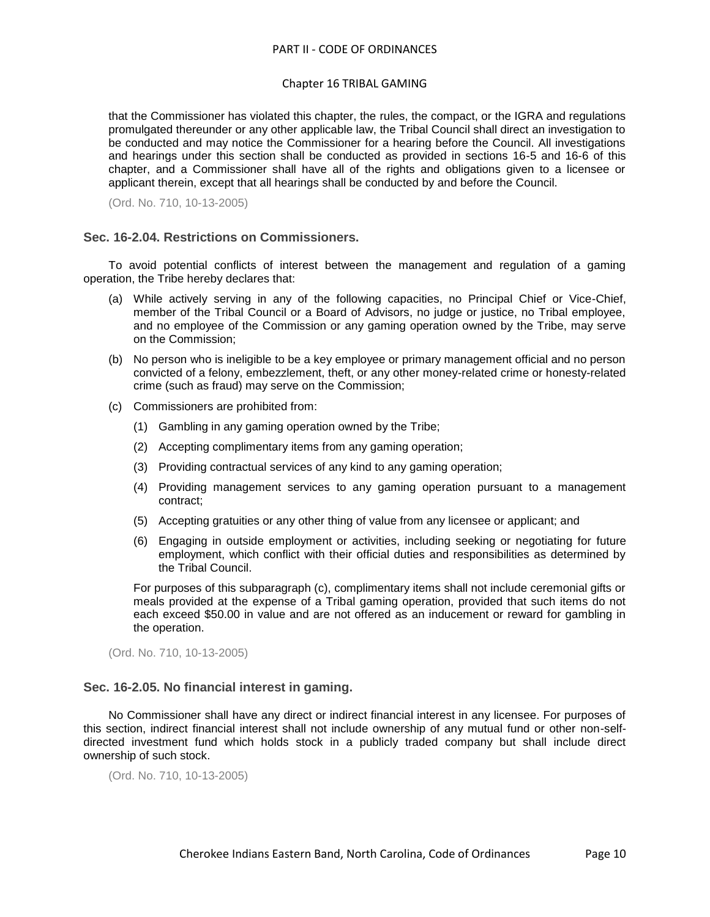#### Chapter 16 TRIBAL GAMING

that the Commissioner has violated this chapter, the rules, the compact, or the IGRA and regulations promulgated thereunder or any other applicable law, the Tribal Council shall direct an investigation to be conducted and may notice the Commissioner for a hearing before the Council. All investigations and hearings under this section shall be conducted as provided in sections 16-5 and 16-6 of this chapter, and a Commissioner shall have all of the rights and obligations given to a licensee or applicant therein, except that all hearings shall be conducted by and before the Council.

(Ord. No. 710, 10-13-2005)

## <span id="page-9-0"></span>**Sec. 16-2.04. Restrictions on Commissioners.**

To avoid potential conflicts of interest between the management and regulation of a gaming operation, the Tribe hereby declares that:

- (a) While actively serving in any of the following capacities, no Principal Chief or Vice-Chief, member of the Tribal Council or a Board of Advisors, no judge or justice, no Tribal employee, and no employee of the Commission or any gaming operation owned by the Tribe, may serve on the Commission;
- (b) No person who is ineligible to be a key employee or primary management official and no person convicted of a felony, embezzlement, theft, or any other money-related crime or honesty-related crime (such as fraud) may serve on the Commission;
- (c) Commissioners are prohibited from:
	- (1) Gambling in any gaming operation owned by the Tribe;
	- (2) Accepting complimentary items from any gaming operation;
	- (3) Providing contractual services of any kind to any gaming operation;
	- (4) Providing management services to any gaming operation pursuant to a management contract;
	- (5) Accepting gratuities or any other thing of value from any licensee or applicant; and
	- (6) Engaging in outside employment or activities, including seeking or negotiating for future employment, which conflict with their official duties and responsibilities as determined by the Tribal Council.

For purposes of this subparagraph (c), complimentary items shall not include ceremonial gifts or meals provided at the expense of a Tribal gaming operation, provided that such items do not each exceed \$50.00 in value and are not offered as an inducement or reward for gambling in the operation.

(Ord. No. 710, 10-13-2005)

# <span id="page-9-1"></span>**Sec. 16-2.05. No financial interest in gaming.**

No Commissioner shall have any direct or indirect financial interest in any licensee. For purposes of this section, indirect financial interest shall not include ownership of any mutual fund or other non-selfdirected investment fund which holds stock in a publicly traded company but shall include direct ownership of such stock.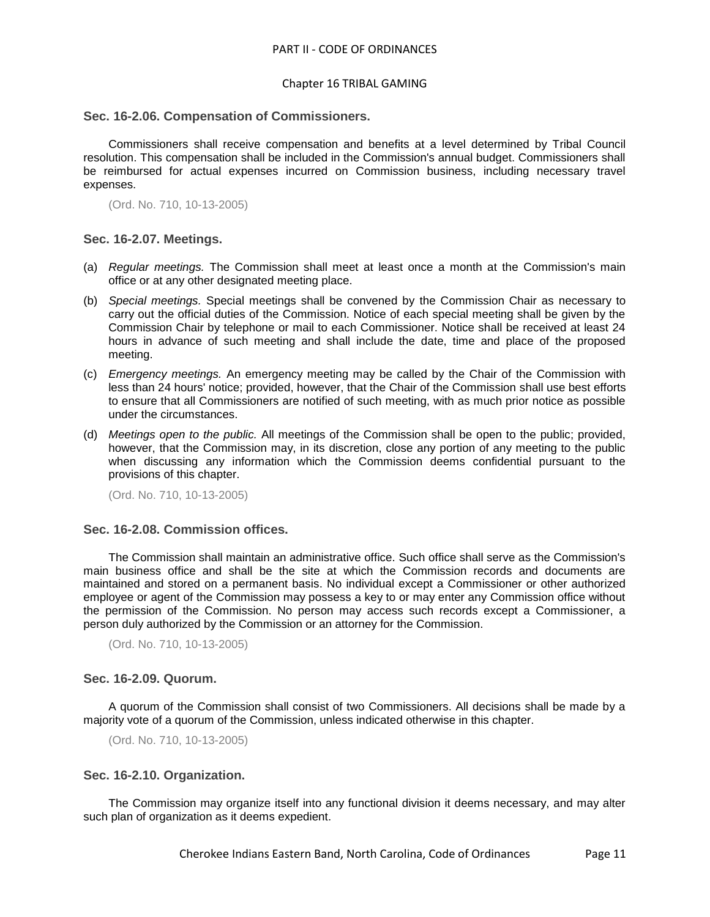#### <span id="page-10-0"></span>**Sec. 16-2.06. Compensation of Commissioners.**

Commissioners shall receive compensation and benefits at a level determined by Tribal Council resolution. This compensation shall be included in the Commission's annual budget. Commissioners shall be reimbursed for actual expenses incurred on Commission business, including necessary travel expenses.

(Ord. No. 710, 10-13-2005)

#### <span id="page-10-1"></span>**Sec. 16-2.07. Meetings.**

- (a) *Regular meetings.* The Commission shall meet at least once a month at the Commission's main office or at any other designated meeting place.
- (b) *Special meetings.* Special meetings shall be convened by the Commission Chair as necessary to carry out the official duties of the Commission. Notice of each special meeting shall be given by the Commission Chair by telephone or mail to each Commissioner. Notice shall be received at least 24 hours in advance of such meeting and shall include the date, time and place of the proposed meeting.
- (c) *Emergency meetings.* An emergency meeting may be called by the Chair of the Commission with less than 24 hours' notice; provided, however, that the Chair of the Commission shall use best efforts to ensure that all Commissioners are notified of such meeting, with as much prior notice as possible under the circumstances.
- (d) *Meetings open to the public.* All meetings of the Commission shall be open to the public; provided, however, that the Commission may, in its discretion, close any portion of any meeting to the public when discussing any information which the Commission deems confidential pursuant to the provisions of this chapter.

(Ord. No. 710, 10-13-2005)

#### <span id="page-10-2"></span>**Sec. 16-2.08. Commission offices.**

The Commission shall maintain an administrative office. Such office shall serve as the Commission's main business office and shall be the site at which the Commission records and documents are maintained and stored on a permanent basis. No individual except a Commissioner or other authorized employee or agent of the Commission may possess a key to or may enter any Commission office without the permission of the Commission. No person may access such records except a Commissioner, a person duly authorized by the Commission or an attorney for the Commission.

(Ord. No. 710, 10-13-2005)

#### <span id="page-10-3"></span>**Sec. 16-2.09. Quorum.**

A quorum of the Commission shall consist of two Commissioners. All decisions shall be made by a majority vote of a quorum of the Commission, unless indicated otherwise in this chapter.

(Ord. No. 710, 10-13-2005)

#### <span id="page-10-4"></span>**Sec. 16-2.10. Organization.**

The Commission may organize itself into any functional division it deems necessary, and may alter such plan of organization as it deems expedient.

Cherokee Indians Eastern Band, North Carolina, Code of Ordinances Page 11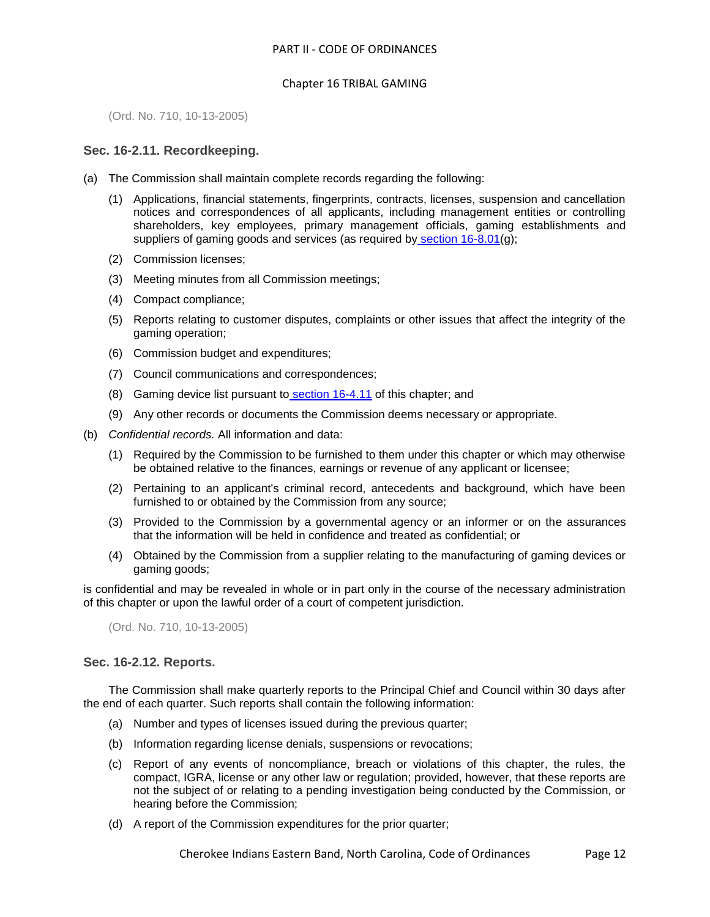(Ord. No. 710, 10-13-2005)

# <span id="page-11-0"></span>**Sec. 16-2.11. Recordkeeping.**

- (a) The Commission shall maintain complete records regarding the following:
	- (1) Applications, financial statements, fingerprints, contracts, licenses, suspension and cancellation notices and correspondences of all applicants, including management entities or controlling shareholders, key employees, primary management officials, gaming establishments and suppliers of gaming goods and services (as required by [section 16-8.01\(](../level3/PTIICOOR_CH16TRGA_ARTVIIIAUINCO.docx#PTIICOOR_CH16TRGA_ARTVIIIAUINCO_S16-8.01MIPRCOINFIAF)g);
	- (2) Commission licenses;
	- (3) Meeting minutes from all Commission meetings;
	- (4) Compact compliance;
	- (5) Reports relating to customer disputes, complaints or other issues that affect the integrity of the gaming operation;
	- (6) Commission budget and expenditures;
	- (7) Council communications and correspondences;
	- (8) Gaming device list pursuant to [section 16-4.11](../level3/PTIICOOR_CH16TRGA_ARTIVLIAPPR.docx#PTIICOOR_CH16TRGA_ARTIVLIAPPR_S16-4.11CEGADE) of this chapter; and
	- (9) Any other records or documents the Commission deems necessary or appropriate.
- (b) *Confidential records.* All information and data:
	- (1) Required by the Commission to be furnished to them under this chapter or which may otherwise be obtained relative to the finances, earnings or revenue of any applicant or licensee;
	- (2) Pertaining to an applicant's criminal record, antecedents and background, which have been furnished to or obtained by the Commission from any source;
	- (3) Provided to the Commission by a governmental agency or an informer or on the assurances that the information will be held in confidence and treated as confidential; or
	- (4) Obtained by the Commission from a supplier relating to the manufacturing of gaming devices or gaming goods;

is confidential and may be revealed in whole or in part only in the course of the necessary administration of this chapter or upon the lawful order of a court of competent jurisdiction.

(Ord. No. 710, 10-13-2005)

# <span id="page-11-1"></span>**Sec. 16-2.12. Reports.**

The Commission shall make quarterly reports to the Principal Chief and Council within 30 days after the end of each quarter. Such reports shall contain the following information:

- (a) Number and types of licenses issued during the previous quarter;
- (b) Information regarding license denials, suspensions or revocations;
- (c) Report of any events of noncompliance, breach or violations of this chapter, the rules, the compact, IGRA, license or any other law or regulation; provided, however, that these reports are not the subject of or relating to a pending investigation being conducted by the Commission, or hearing before the Commission;
- (d) A report of the Commission expenditures for the prior quarter;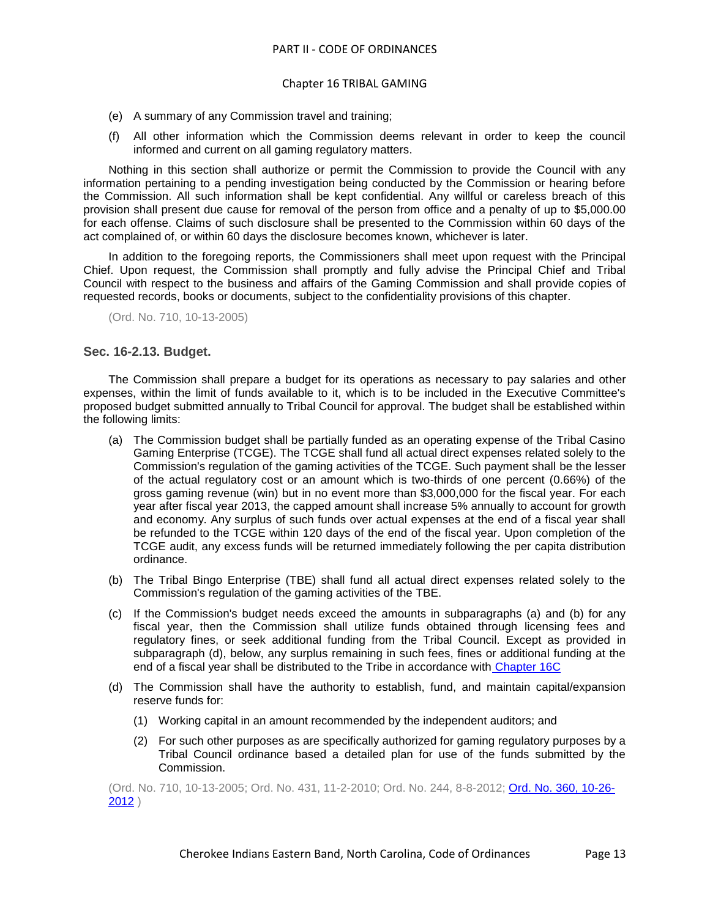- (e) A summary of any Commission travel and training;
- (f) All other information which the Commission deems relevant in order to keep the council informed and current on all gaming regulatory matters.

Nothing in this section shall authorize or permit the Commission to provide the Council with any information pertaining to a pending investigation being conducted by the Commission or hearing before the Commission. All such information shall be kept confidential. Any willful or careless breach of this provision shall present due cause for removal of the person from office and a penalty of up to \$5,000.00 for each offense. Claims of such disclosure shall be presented to the Commission within 60 days of the act complained of, or within 60 days the disclosure becomes known, whichever is later.

In addition to the foregoing reports, the Commissioners shall meet upon request with the Principal Chief. Upon request, the Commission shall promptly and fully advise the Principal Chief and Tribal Council with respect to the business and affairs of the Gaming Commission and shall provide copies of requested records, books or documents, subject to the confidentiality provisions of this chapter.

(Ord. No. 710, 10-13-2005)

## <span id="page-12-0"></span>**Sec. 16-2.13. Budget.**

The Commission shall prepare a budget for its operations as necessary to pay salaries and other expenses, within the limit of funds available to it, which is to be included in the Executive Committee's proposed budget submitted annually to Tribal Council for approval. The budget shall be established within the following limits:

- (a) The Commission budget shall be partially funded as an operating expense of the Tribal Casino Gaming Enterprise (TCGE). The TCGE shall fund all actual direct expenses related solely to the Commission's regulation of the gaming activities of the TCGE. Such payment shall be the lesser of the actual regulatory cost or an amount which is two-thirds of one percent (0.66%) of the gross gaming revenue (win) but in no event more than \$3,000,000 for the fiscal year. For each year after fiscal year 2013, the capped amount shall increase 5% annually to account for growth and economy. Any surplus of such funds over actual expenses at the end of a fiscal year shall be refunded to the TCGE within 120 days of the end of the fiscal year. Upon completion of the TCGE audit, any excess funds will be returned immediately following the per capita distribution ordinance.
- (b) The Tribal Bingo Enterprise (TBE) shall fund all actual direct expenses related solely to the Commission's regulation of the gaming activities of the TBE.
- (c) If the Commission's budget needs exceed the amounts in subparagraphs (a) and (b) for any fiscal year, then the Commission shall utilize funds obtained through licensing fees and regulatory fines, or seek additional funding from the Tribal Council. Except as provided in subparagraph (d), below, any surplus remaining in such fees, fines or additional funding at the end of a fiscal year shall be distributed to the Tribe in accordance with [Chapter 16C](../level2/PTIICOOR_CH16CGAREALPL.docx#PTIICOOR_CH16CGAREALPL)
- (d) The Commission shall have the authority to establish, fund, and maintain capital/expansion reserve funds for:
	- (1) Working capital in an amount recommended by the independent auditors; and
	- (2) For such other purposes as are specifically authorized for gaming regulatory purposes by a Tribal Council ordinance based a detailed plan for use of the funds submitted by the Commission.

(Ord. No. 710, 10-13-2005; Ord. No. 431, 11-2-2010; Ord. No. 244, 8-8-2012; [Ord. No. 360, 10-26-](http://newords.municode.com/readordinance.aspx?ordinanceid=575572&datasource=ordbank) [2012](http://newords.municode.com/readordinance.aspx?ordinanceid=575572&datasource=ordbank) )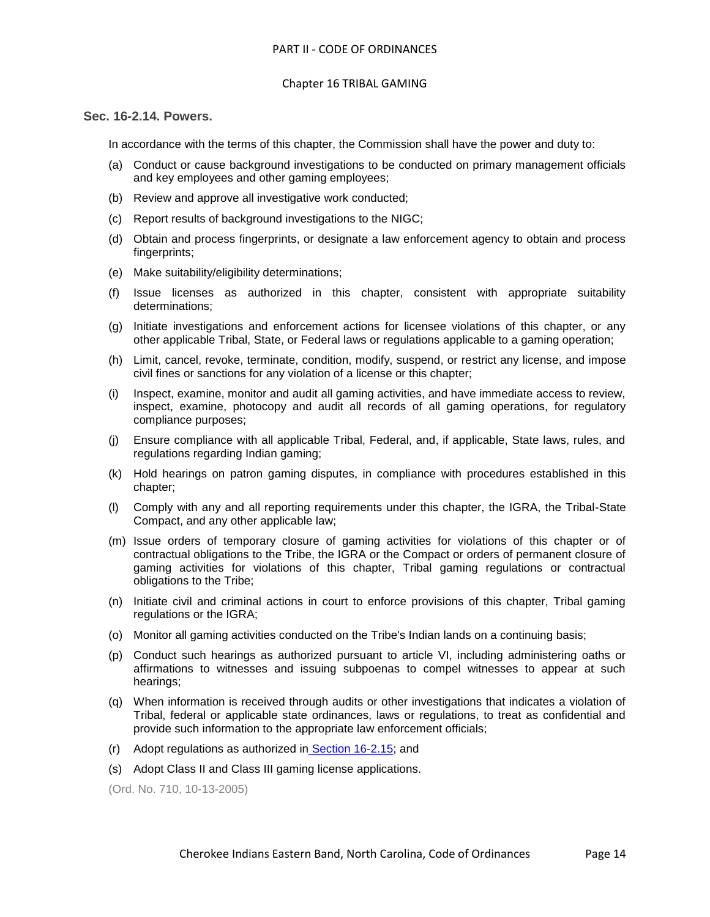# <span id="page-13-0"></span>**Sec. 16-2.14. Powers.**

In accordance with the terms of this chapter, the Commission shall have the power and duty to:

- (a) Conduct or cause background investigations to be conducted on primary management officials and key employees and other gaming employees;
- (b) Review and approve all investigative work conducted;
- (c) Report results of background investigations to the NIGC;
- (d) Obtain and process fingerprints, or designate a law enforcement agency to obtain and process fingerprints;
- (e) Make suitability/eligibility determinations;
- (f) Issue licenses as authorized in this chapter, consistent with appropriate suitability determinations;
- (g) Initiate investigations and enforcement actions for licensee violations of this chapter, or any other applicable Tribal, State, or Federal laws or regulations applicable to a gaming operation;
- (h) Limit, cancel, revoke, terminate, condition, modify, suspend, or restrict any license, and impose civil fines or sanctions for any violation of a license or this chapter;
- (i) Inspect, examine, monitor and audit all gaming activities, and have immediate access to review, inspect, examine, photocopy and audit all records of all gaming operations, for regulatory compliance purposes;
- (j) Ensure compliance with all applicable Tribal, Federal, and, if applicable, State laws, rules, and regulations regarding Indian gaming;
- (k) Hold hearings on patron gaming disputes, in compliance with procedures established in this chapter;
- (l) Comply with any and all reporting requirements under this chapter, the IGRA, the Tribal-State Compact, and any other applicable law;
- (m) Issue orders of temporary closure of gaming activities for violations of this chapter or of contractual obligations to the Tribe, the IGRA or the Compact or orders of permanent closure of gaming activities for violations of this chapter, Tribal gaming regulations or contractual obligations to the Tribe;
- (n) Initiate civil and criminal actions in court to enforce provisions of this chapter, Tribal gaming regulations or the IGRA;
- (o) Monitor all gaming activities conducted on the Tribe's Indian lands on a continuing basis;
- (p) Conduct such hearings as authorized pursuant to article VI, including administering oaths or affirmations to witnesses and issuing subpoenas to compel witnesses to appear at such hearings;
- (q) When information is received through audits or other investigations that indicates a violation of Tribal, federal or applicable state ordinances, laws or regulations, to treat as confidential and provide such information to the appropriate law enforcement officials;
- (r) Adopt regulations as authorized in [Section 16-2.15;](../level3/PTIICOOR_CH16TRGA_ARTII._TRIBAL_GAMING_COMMISSION.docx#PTIICOOR_CH16TRGA_ARTII._TRIBAL_GAMING_COMMISSION_S16-2.15PRGARURE) and
- (s) Adopt Class II and Class III gaming license applications.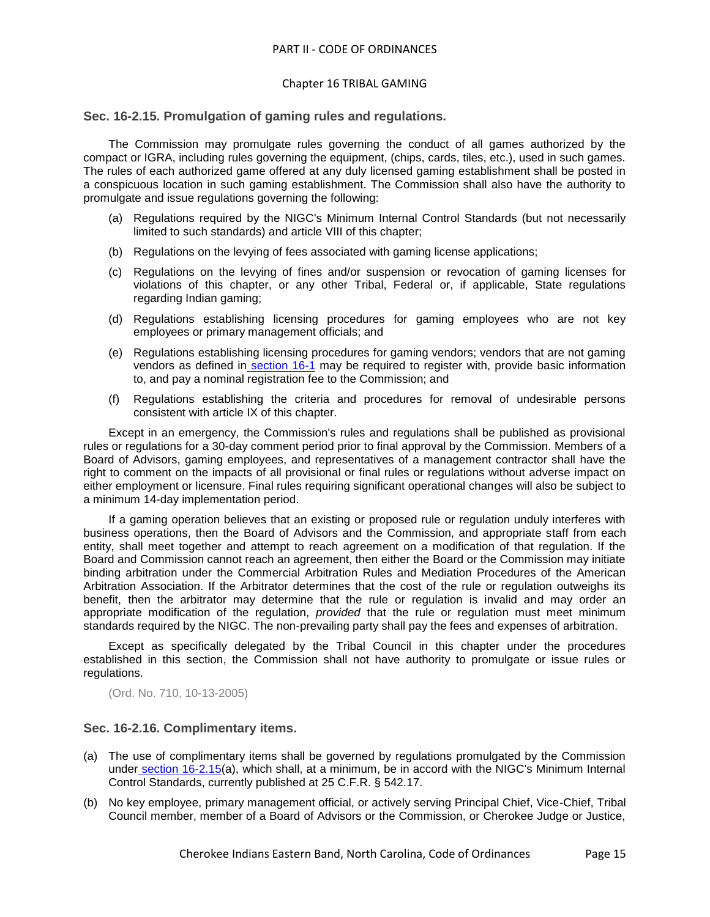## <span id="page-14-0"></span>**Sec. 16-2.15. Promulgation of gaming rules and regulations.**

The Commission may promulgate rules governing the conduct of all games authorized by the compact or IGRA, including rules governing the equipment, (chips, cards, tiles, etc.), used in such games. The rules of each authorized game offered at any duly licensed gaming establishment shall be posted in a conspicuous location in such gaming establishment. The Commission shall also have the authority to promulgate and issue regulations governing the following:

- (a) Regulations required by the NIGC's Minimum Internal Control Standards (but not necessarily limited to such standards) and article VIII of this chapter;
- (b) Regulations on the levying of fees associated with gaming license applications;
- (c) Regulations on the levying of fines and/or suspension or revocation of gaming licenses for violations of this chapter, or any other Tribal, Federal or, if applicable, State regulations regarding Indian gaming;
- (d) Regulations establishing licensing procedures for gaming employees who are not key employees or primary management officials; and
- (e) Regulations establishing licensing procedures for gaming vendors; vendors that are not gaming vendors as defined in [section 16-1](../level3/PTIICOOR_CH16TRGA_ARTIINGE.docx#PTIICOOR_CH16TRGA_ARTIINGE_S16-1DE) may be required to register with, provide basic information to, and pay a nominal registration fee to the Commission; and
- (f) Regulations establishing the criteria and procedures for removal of undesirable persons consistent with article IX of this chapter.

Except in an emergency, the Commission's rules and regulations shall be published as provisional rules or regulations for a 30-day comment period prior to final approval by the Commission. Members of a Board of Advisors, gaming employees, and representatives of a management contractor shall have the right to comment on the impacts of all provisional or final rules or regulations without adverse impact on either employment or licensure. Final rules requiring significant operational changes will also be subject to a minimum 14-day implementation period.

If a gaming operation believes that an existing or proposed rule or regulation unduly interferes with business operations, then the Board of Advisors and the Commission, and appropriate staff from each entity, shall meet together and attempt to reach agreement on a modification of that regulation. If the Board and Commission cannot reach an agreement, then either the Board or the Commission may initiate binding arbitration under the Commercial Arbitration Rules and Mediation Procedures of the American Arbitration Association. If the Arbitrator determines that the cost of the rule or regulation outweighs its benefit, then the arbitrator may determine that the rule or regulation is invalid and may order an appropriate modification of the regulation, *provided* that the rule or regulation must meet minimum standards required by the NIGC. The non-prevailing party shall pay the fees and expenses of arbitration.

Except as specifically delegated by the Tribal Council in this chapter under the procedures established in this section, the Commission shall not have authority to promulgate or issue rules or regulations.

(Ord. No. 710, 10-13-2005)

# <span id="page-14-1"></span>**Sec. 16-2.16. Complimentary items.**

- (a) The use of complimentary items shall be governed by regulations promulgated by the Commission under [section 16-2.15\(](../level3/PTIICOOR_CH16TRGA_ARTII._TRIBAL_GAMING_COMMISSION.docx#PTIICOOR_CH16TRGA_ARTII._TRIBAL_GAMING_COMMISSION_S16-2.15PRGARURE)a), which shall, at a minimum, be in accord with the NIGC's Minimum Internal Control Standards, currently published at 25 C.F.R. § 542.17.
- (b) No key employee, primary management official, or actively serving Principal Chief, Vice-Chief, Tribal Council member, member of a Board of Advisors or the Commission, or Cherokee Judge or Justice,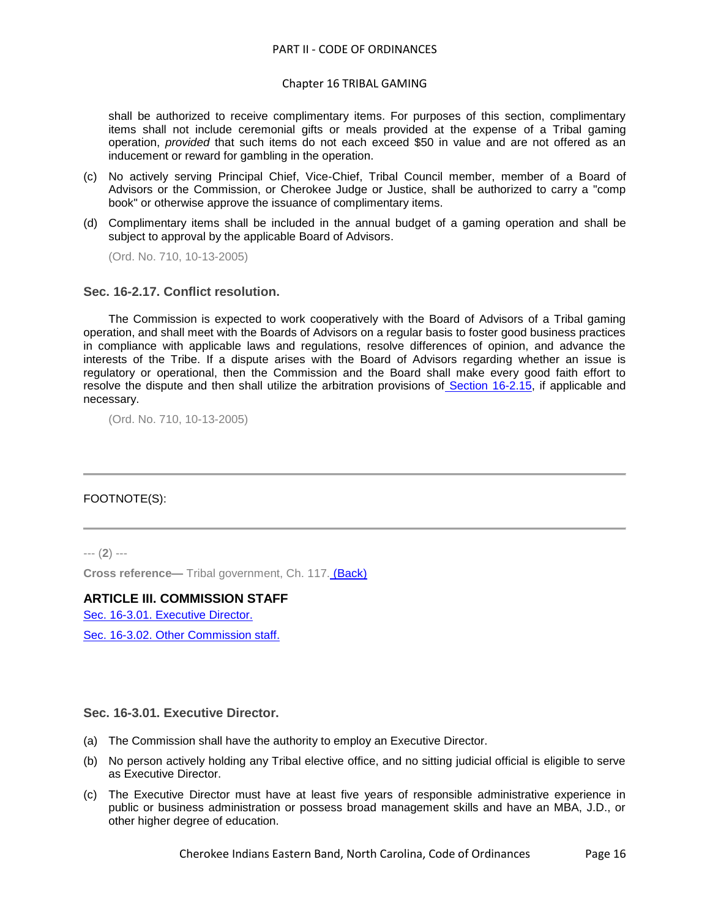#### Chapter 16 TRIBAL GAMING

shall be authorized to receive complimentary items. For purposes of this section, complimentary items shall not include ceremonial gifts or meals provided at the expense of a Tribal gaming operation, *provided* that such items do not each exceed \$50 in value and are not offered as an inducement or reward for gambling in the operation.

- (c) No actively serving Principal Chief, Vice-Chief, Tribal Council member, member of a Board of Advisors or the Commission, or Cherokee Judge or Justice, shall be authorized to carry a "comp book" or otherwise approve the issuance of complimentary items.
- (d) Complimentary items shall be included in the annual budget of a gaming operation and shall be subject to approval by the applicable Board of Advisors.

(Ord. No. 710, 10-13-2005)

## <span id="page-15-0"></span>**Sec. 16-2.17. Conflict resolution.**

The Commission is expected to work cooperatively with the Board of Advisors of a Tribal gaming operation, and shall meet with the Boards of Advisors on a regular basis to foster good business practices in compliance with applicable laws and regulations, resolve differences of opinion, and advance the interests of the Tribe. If a dispute arises with the Board of Advisors regarding whether an issue is regulatory or operational, then the Commission and the Board shall make every good faith effort to resolve the dispute and then shall utilize the arbitration provisions of [Section 16-2.15,](../level3/PTIICOOR_CH16TRGA_ARTII._TRIBAL_GAMING_COMMISSION.docx#PTIICOOR_CH16TRGA_ARTII._TRIBAL_GAMING_COMMISSION_S16-2.15PRGARURE) if applicable and necessary.

(Ord. No. 710, 10-13-2005)

# FOOTNOTE(S):

--- (**2**) ---

**Cross reference—** Tribal government, Ch. 117. (Back)

# **ARTICLE III. COMMISSION STAFF**

[Sec. 16-3.01. Executive Director.](#page-15-1)

[Sec. 16-3.02. Other Commission staff.](#page-16-0)

#### <span id="page-15-1"></span>**Sec. 16-3.01. Executive Director.**

- (a) The Commission shall have the authority to employ an Executive Director.
- (b) No person actively holding any Tribal elective office, and no sitting judicial official is eligible to serve as Executive Director.
- (c) The Executive Director must have at least five years of responsible administrative experience in public or business administration or possess broad management skills and have an MBA, J.D., or other higher degree of education.

Cherokee Indians Eastern Band, North Carolina, Code of Ordinances Page 16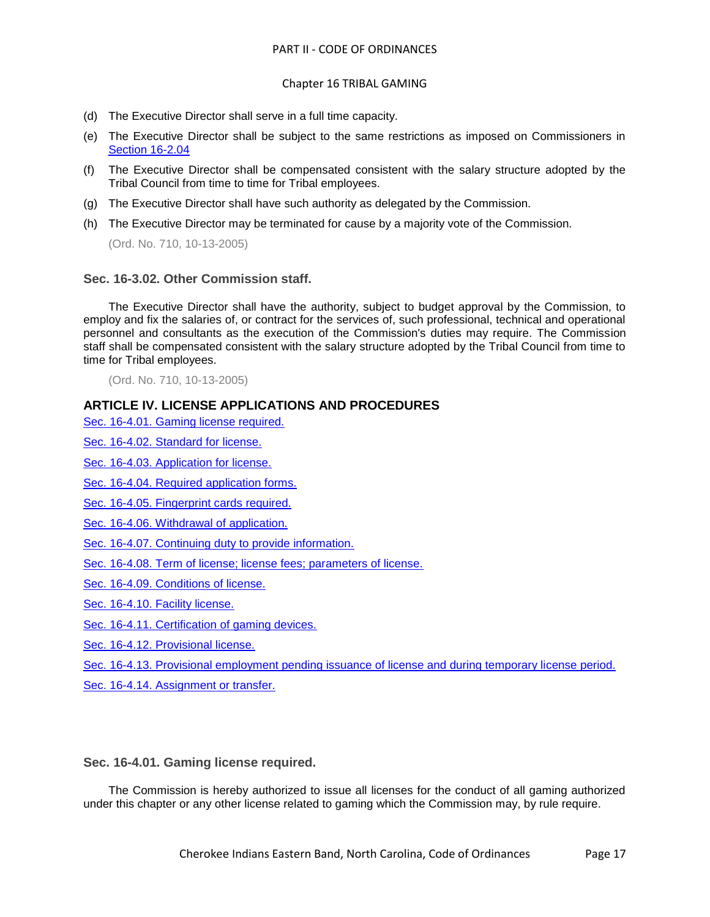#### Chapter 16 TRIBAL GAMING

- (d) The Executive Director shall serve in a full time capacity.
- (e) The Executive Director shall be subject to the same restrictions as imposed on Commissioners i[n](../level3/PTIICOOR_CH16TRGA_ARTII._TRIBAL_GAMING_COMMISSION.docx#PTIICOOR_CH16TRGA_ARTII._TRIBAL_GAMING_COMMISSION_S16-2.04RECO) [Section 16-2.04](../level3/PTIICOOR_CH16TRGA_ARTII._TRIBAL_GAMING_COMMISSION.docx#PTIICOOR_CH16TRGA_ARTII._TRIBAL_GAMING_COMMISSION_S16-2.04RECO)
- (f) The Executive Director shall be compensated consistent with the salary structure adopted by the Tribal Council from time to time for Tribal employees.
- (g) The Executive Director shall have such authority as delegated by the Commission.
- (h) The Executive Director may be terminated for cause by a majority vote of the Commission.

(Ord. No. 710, 10-13-2005)

#### <span id="page-16-0"></span>**Sec. 16-3.02. Other Commission staff.**

The Executive Director shall have the authority, subject to budget approval by the Commission, to employ and fix the salaries of, or contract for the services of, such professional, technical and operational personnel and consultants as the execution of the Commission's duties may require. The Commission staff shall be compensated consistent with the salary structure adopted by the Tribal Council from time to time for Tribal employees.

(Ord. No. 710, 10-13-2005)

## **ARTICLE IV. LICENSE APPLICATIONS AND PROCEDURES**

[Sec. 16-4.01. Gaming license required.](#page-16-1)

[Sec. 16-4.02. Standard for license.](#page-17-0)

[Sec. 16-4.03. Application for license.](#page-17-1)

- [Sec. 16-4.04. Required application forms.](#page-18-0)
- [Sec. 16-4.05. Fingerprint cards required.](#page-19-0)
- [Sec. 16-4.06. Withdrawal of application.](#page-19-1)
- [Sec. 16-4.07. Continuing duty to provide information.](#page-19-2)

[Sec. 16-4.08. Term of license; license fees; parameters of license.](#page-19-3)

[Sec. 16-4.09. Conditions of license.](#page-20-0)

[Sec. 16-4.10. Facility license.](#page-21-0)

[Sec. 16-4.11. Certification of gaming devices.](#page-21-1)

[Sec. 16-4.12. Provisional license.](#page-21-2)

[Sec. 16-4.13. Provisional employment pending issuance of license and during temporary license period.](#page-21-3)

[Sec. 16-4.14. Assignment or transfer.](#page-22-0)

#### <span id="page-16-1"></span>**Sec. 16-4.01. Gaming license required.**

The Commission is hereby authorized to issue all licenses for the conduct of all gaming authorized under this chapter or any other license related to gaming which the Commission may, by rule require.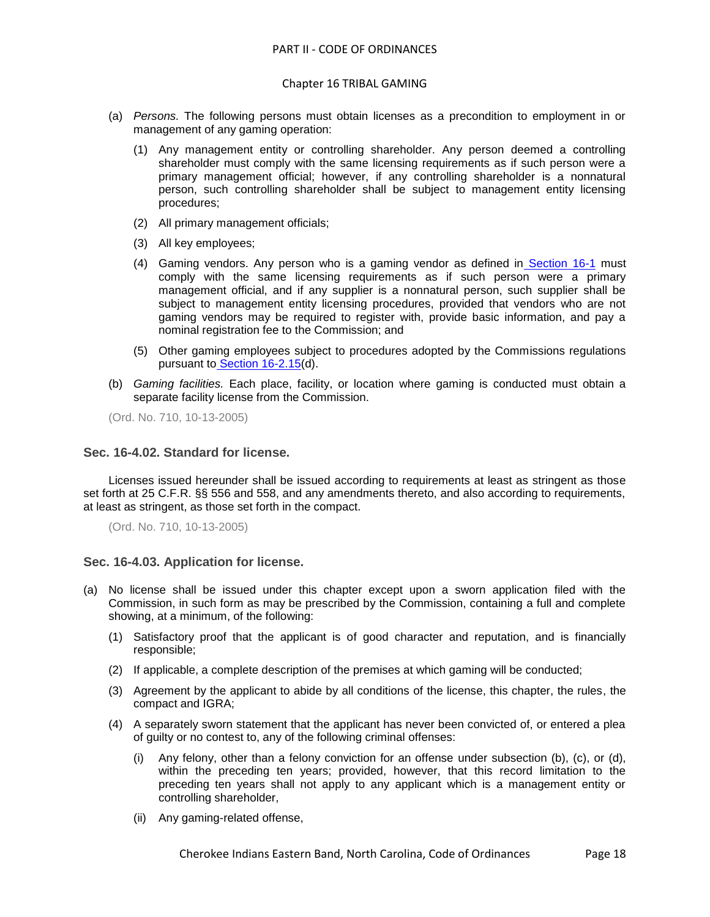- (a) *Persons.* The following persons must obtain licenses as a precondition to employment in or management of any gaming operation:
	- (1) Any management entity or controlling shareholder. Any person deemed a controlling shareholder must comply with the same licensing requirements as if such person were a primary management official; however, if any controlling shareholder is a nonnatural person, such controlling shareholder shall be subject to management entity licensing procedures;
	- (2) All primary management officials;
	- (3) All key employees;
	- (4) Gaming vendors. Any person who is a gaming vendor as defined in [Section 16-1](../level3/PTIICOOR_CH16TRGA_ARTIINGE.docx#PTIICOOR_CH16TRGA_ARTIINGE_S16-1DE) must comply with the same licensing requirements as if such person were a primary management official, and if any supplier is a nonnatural person, such supplier shall be subject to management entity licensing procedures, provided that vendors who are not gaming vendors may be required to register with, provide basic information, and pay a nominal registration fee to the Commission; and
	- (5) Other gaming employees subject to procedures adopted by the Commissions regulations pursuant to [Section 16-2.15\(](../level3/PTIICOOR_CH16TRGA_ARTII._TRIBAL_GAMING_COMMISSION.docx#PTIICOOR_CH16TRGA_ARTII._TRIBAL_GAMING_COMMISSION_S16-2.15PRGARURE)d).
- (b) *Gaming facilities.* Each place, facility, or location where gaming is conducted must obtain a separate facility license from the Commission.

(Ord. No. 710, 10-13-2005)

#### <span id="page-17-0"></span>**Sec. 16-4.02. Standard for license.**

Licenses issued hereunder shall be issued according to requirements at least as stringent as those set forth at 25 C.F.R. §§ 556 and 558, and any amendments thereto, and also according to requirements, at least as stringent, as those set forth in the compact.

(Ord. No. 710, 10-13-2005)

#### <span id="page-17-1"></span>**Sec. 16-4.03. Application for license.**

- (a) No license shall be issued under this chapter except upon a sworn application filed with the Commission, in such form as may be prescribed by the Commission, containing a full and complete showing, at a minimum, of the following:
	- (1) Satisfactory proof that the applicant is of good character and reputation, and is financially responsible;
	- (2) If applicable, a complete description of the premises at which gaming will be conducted;
	- (3) Agreement by the applicant to abide by all conditions of the license, this chapter, the rules, the compact and IGRA;
	- (4) A separately sworn statement that the applicant has never been convicted of, or entered a plea of guilty or no contest to, any of the following criminal offenses:
		- (i) Any felony, other than a felony conviction for an offense under subsection (b), (c), or (d), within the preceding ten years; provided, however, that this record limitation to the preceding ten years shall not apply to any applicant which is a management entity or controlling shareholder,
		- (ii) Any gaming-related offense,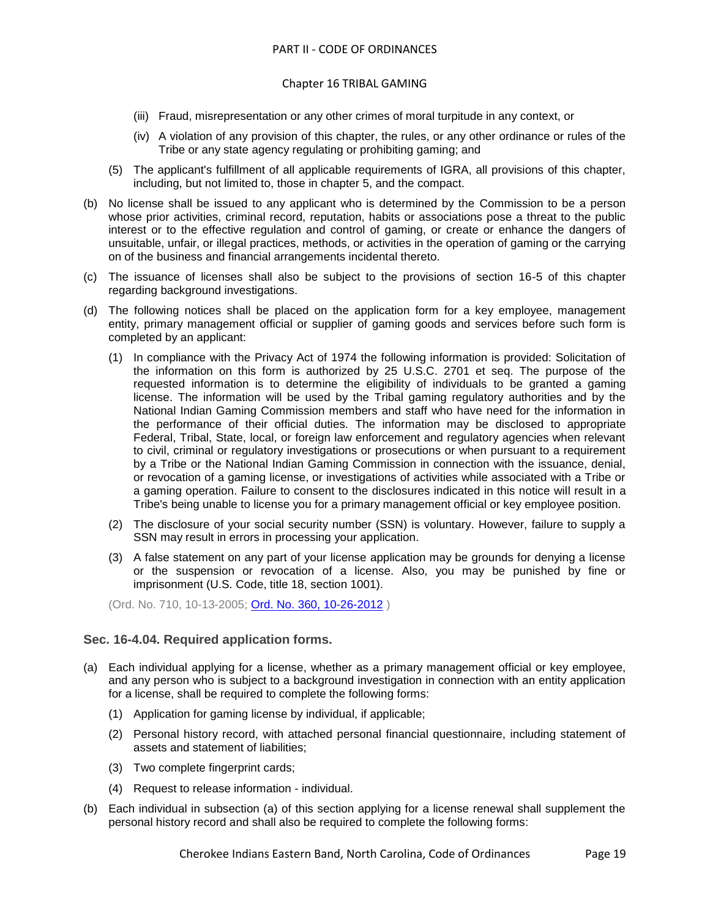#### Chapter 16 TRIBAL GAMING

- (iii) Fraud, misrepresentation or any other crimes of moral turpitude in any context, or
- (iv) A violation of any provision of this chapter, the rules, or any other ordinance or rules of the Tribe or any state agency regulating or prohibiting gaming; and
- (5) The applicant's fulfillment of all applicable requirements of IGRA, all provisions of this chapter, including, but not limited to, those in chapter 5, and the compact.
- (b) No license shall be issued to any applicant who is determined by the Commission to be a person whose prior activities, criminal record, reputation, habits or associations pose a threat to the public interest or to the effective regulation and control of gaming, or create or enhance the dangers of unsuitable, unfair, or illegal practices, methods, or activities in the operation of gaming or the carrying on of the business and financial arrangements incidental thereto.
- (c) The issuance of licenses shall also be subject to the provisions of section 16-5 of this chapter regarding background investigations.
- (d) The following notices shall be placed on the application form for a key employee, management entity, primary management official or supplier of gaming goods and services before such form is completed by an applicant:
	- (1) In compliance with the Privacy Act of 1974 the following information is provided: Solicitation of the information on this form is authorized by 25 U.S.C. 2701 et seq. The purpose of the requested information is to determine the eligibility of individuals to be granted a gaming license. The information will be used by the Tribal gaming regulatory authorities and by the National Indian Gaming Commission members and staff who have need for the information in the performance of their official duties. The information may be disclosed to appropriate Federal, Tribal, State, local, or foreign law enforcement and regulatory agencies when relevant to civil, criminal or regulatory investigations or prosecutions or when pursuant to a requirement by a Tribe or the National Indian Gaming Commission in connection with the issuance, denial, or revocation of a gaming license, or investigations of activities while associated with a Tribe or a gaming operation. Failure to consent to the disclosures indicated in this notice will result in a Tribe's being unable to license you for a primary management official or key employee position.
	- (2) The disclosure of your social security number (SSN) is voluntary. However, failure to supply a SSN may result in errors in processing your application.
	- (3) A false statement on any part of your license application may be grounds for denying a license or the suspension or revocation of a license. Also, you may be punished by fine or imprisonment (U.S. Code, title 18, section 1001).

(Ord. No. 710, 10-13-2005; [Ord. No. 360, 10-26-2012](http://newords.municode.com/readordinance.aspx?ordinanceid=575572&datasource=ordbank) )

#### <span id="page-18-0"></span>**Sec. 16-4.04. Required application forms.**

- (a) Each individual applying for a license, whether as a primary management official or key employee, and any person who is subject to a background investigation in connection with an entity application for a license, shall be required to complete the following forms:
	- (1) Application for gaming license by individual, if applicable;
	- (2) Personal history record, with attached personal financial questionnaire, including statement of assets and statement of liabilities;
	- (3) Two complete fingerprint cards;
	- (4) Request to release information individual.
- (b) Each individual in subsection (a) of this section applying for a license renewal shall supplement the personal history record and shall also be required to complete the following forms:

Cherokee Indians Eastern Band, North Carolina, Code of Ordinances Page 19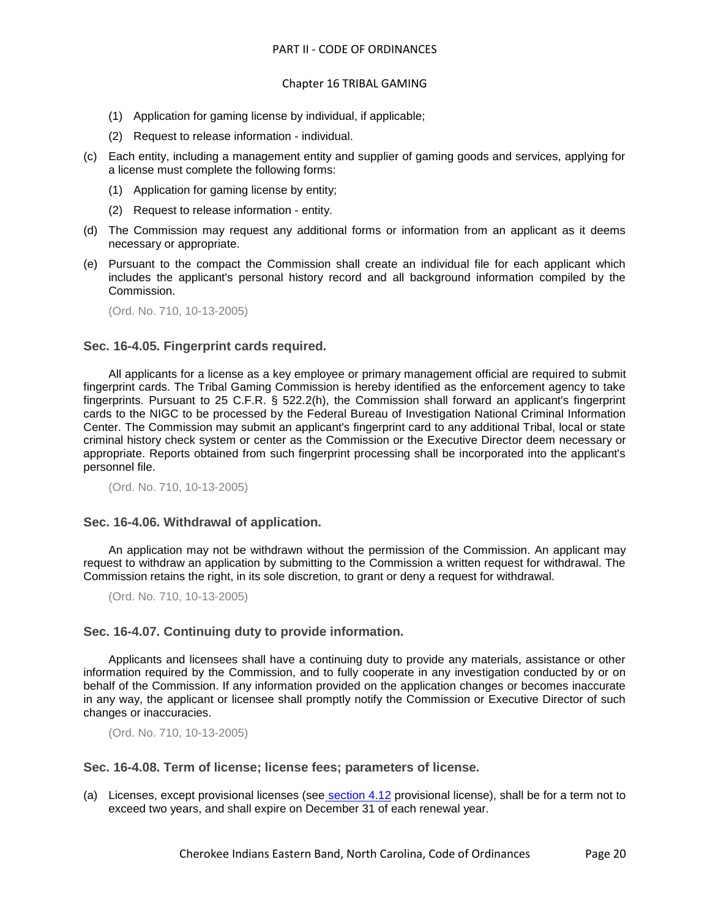- (1) Application for gaming license by individual, if applicable;
- (2) Request to release information individual.
- (c) Each entity, including a management entity and supplier of gaming goods and services, applying for a license must complete the following forms:
	- (1) Application for gaming license by entity;
	- (2) Request to release information entity.
- (d) The Commission may request any additional forms or information from an applicant as it deems necessary or appropriate.
- (e) Pursuant to the compact the Commission shall create an individual file for each applicant which includes the applicant's personal history record and all background information compiled by the Commission.

(Ord. No. 710, 10-13-2005)

## <span id="page-19-0"></span>**Sec. 16-4.05. Fingerprint cards required.**

All applicants for a license as a key employee or primary management official are required to submit fingerprint cards. The Tribal Gaming Commission is hereby identified as the enforcement agency to take fingerprints. Pursuant to 25 C.F.R. § 522.2(h), the Commission shall forward an applicant's fingerprint cards to the NIGC to be processed by the Federal Bureau of Investigation National Criminal Information Center. The Commission may submit an applicant's fingerprint card to any additional Tribal, local or state criminal history check system or center as the Commission or the Executive Director deem necessary or appropriate. Reports obtained from such fingerprint processing shall be incorporated into the applicant's personnel file.

(Ord. No. 710, 10-13-2005)

#### <span id="page-19-1"></span>**Sec. 16-4.06. Withdrawal of application.**

An application may not be withdrawn without the permission of the Commission. An applicant may request to withdraw an application by submitting to the Commission a written request for withdrawal. The Commission retains the right, in its sole discretion, to grant or deny a request for withdrawal.

(Ord. No. 710, 10-13-2005)

# <span id="page-19-2"></span>**Sec. 16-4.07. Continuing duty to provide information.**

Applicants and licensees shall have a continuing duty to provide any materials, assistance or other information required by the Commission, and to fully cooperate in any investigation conducted by or on behalf of the Commission. If any information provided on the application changes or becomes inaccurate in any way, the applicant or licensee shall promptly notify the Commission or Executive Director of such changes or inaccuracies.

(Ord. No. 710, 10-13-2005)

#### <span id="page-19-3"></span>**Sec. 16-4.08. Term of license; license fees; parameters of license.**

(a) Licenses, except provisional licenses (see [section 4.12](../level3/PTIICOOR_CH96TREM_ART4GEEMPO.docx#PTIICOOR_CH96TREM_ART4GEEMPO_S4.12PAAD) provisional license), shall be for a term not to exceed two years, and shall expire on December 31 of each renewal year.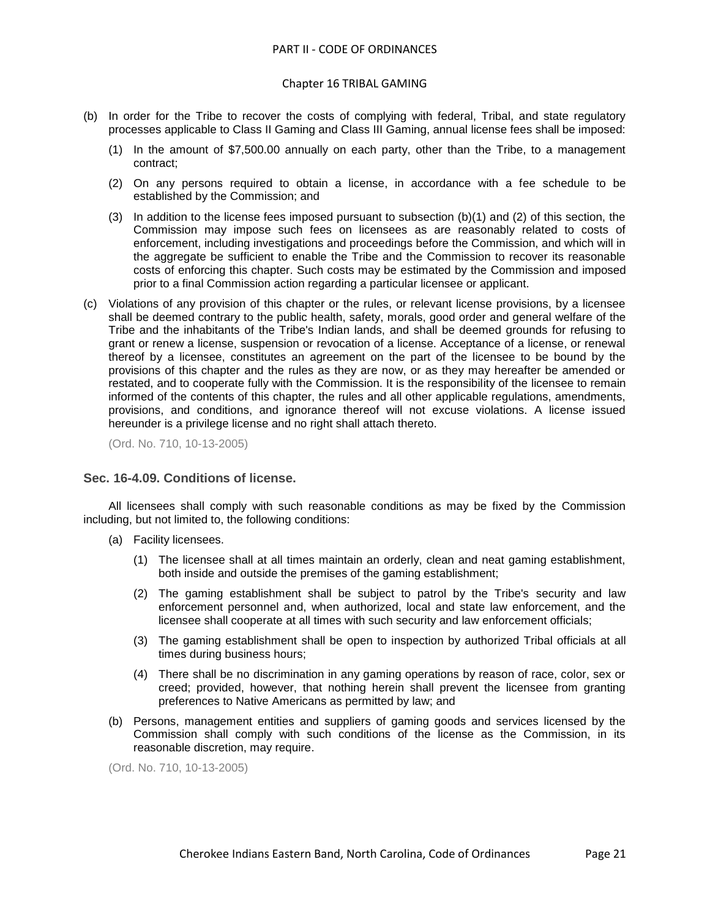#### Chapter 16 TRIBAL GAMING

- (b) In order for the Tribe to recover the costs of complying with federal, Tribal, and state regulatory processes applicable to Class II Gaming and Class III Gaming, annual license fees shall be imposed:
	- (1) In the amount of \$7,500.00 annually on each party, other than the Tribe, to a management contract;
	- (2) On any persons required to obtain a license, in accordance with a fee schedule to be established by the Commission; and
	- (3) In addition to the license fees imposed pursuant to subsection (b)(1) and (2) of this section, the Commission may impose such fees on licensees as are reasonably related to costs of enforcement, including investigations and proceedings before the Commission, and which will in the aggregate be sufficient to enable the Tribe and the Commission to recover its reasonable costs of enforcing this chapter. Such costs may be estimated by the Commission and imposed prior to a final Commission action regarding a particular licensee or applicant.
- (c) Violations of any provision of this chapter or the rules, or relevant license provisions, by a licensee shall be deemed contrary to the public health, safety, morals, good order and general welfare of the Tribe and the inhabitants of the Tribe's Indian lands, and shall be deemed grounds for refusing to grant or renew a license, suspension or revocation of a license. Acceptance of a license, or renewal thereof by a licensee, constitutes an agreement on the part of the licensee to be bound by the provisions of this chapter and the rules as they are now, or as they may hereafter be amended or restated, and to cooperate fully with the Commission. It is the responsibility of the licensee to remain informed of the contents of this chapter, the rules and all other applicable regulations, amendments, provisions, and conditions, and ignorance thereof will not excuse violations. A license issued hereunder is a privilege license and no right shall attach thereto.

(Ord. No. 710, 10-13-2005)

# <span id="page-20-0"></span>**Sec. 16-4.09. Conditions of license.**

All licensees shall comply with such reasonable conditions as may be fixed by the Commission including, but not limited to, the following conditions:

- (a) Facility licensees.
	- (1) The licensee shall at all times maintain an orderly, clean and neat gaming establishment, both inside and outside the premises of the gaming establishment;
	- (2) The gaming establishment shall be subject to patrol by the Tribe's security and law enforcement personnel and, when authorized, local and state law enforcement, and the licensee shall cooperate at all times with such security and law enforcement officials;
	- (3) The gaming establishment shall be open to inspection by authorized Tribal officials at all times during business hours;
	- (4) There shall be no discrimination in any gaming operations by reason of race, color, sex or creed; provided, however, that nothing herein shall prevent the licensee from granting preferences to Native Americans as permitted by law; and
- (b) Persons, management entities and suppliers of gaming goods and services licensed by the Commission shall comply with such conditions of the license as the Commission, in its reasonable discretion, may require.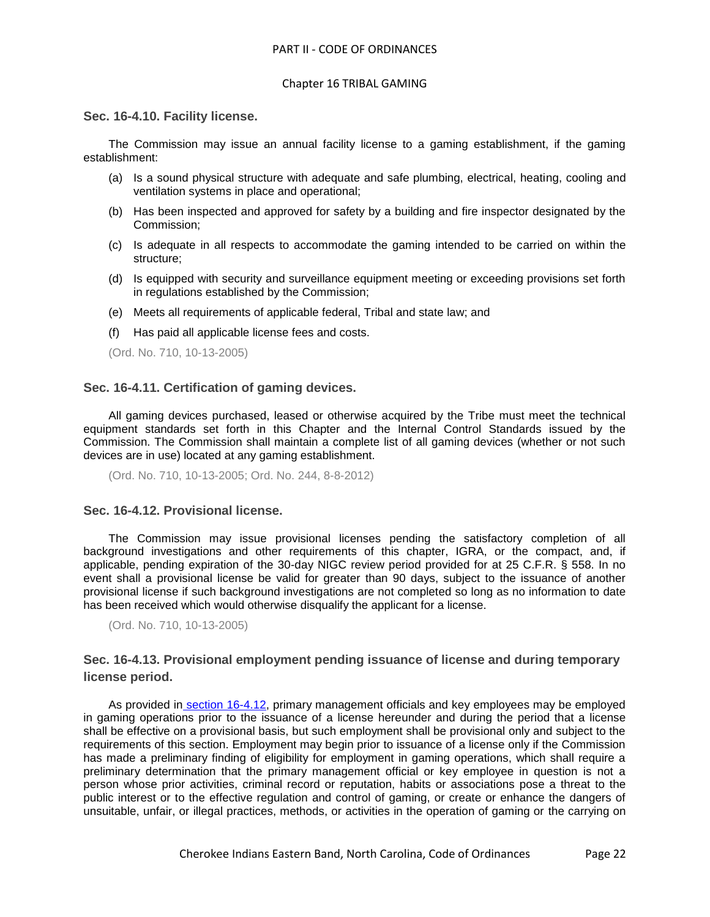#### <span id="page-21-0"></span>**Sec. 16-4.10. Facility license.**

The Commission may issue an annual facility license to a gaming establishment, if the gaming establishment:

- (a) Is a sound physical structure with adequate and safe plumbing, electrical, heating, cooling and ventilation systems in place and operational;
- (b) Has been inspected and approved for safety by a building and fire inspector designated by the Commission;
- (c) Is adequate in all respects to accommodate the gaming intended to be carried on within the structure;
- (d) Is equipped with security and surveillance equipment meeting or exceeding provisions set forth in regulations established by the Commission;
- (e) Meets all requirements of applicable federal, Tribal and state law; and
- (f) Has paid all applicable license fees and costs.

(Ord. No. 710, 10-13-2005)

## <span id="page-21-1"></span>**Sec. 16-4.11. Certification of gaming devices.**

All gaming devices purchased, leased or otherwise acquired by the Tribe must meet the technical equipment standards set forth in this Chapter and the Internal Control Standards issued by the Commission. The Commission shall maintain a complete list of all gaming devices (whether or not such devices are in use) located at any gaming establishment.

(Ord. No. 710, 10-13-2005; Ord. No. 244, 8-8-2012)

#### <span id="page-21-2"></span>**Sec. 16-4.12. Provisional license.**

The Commission may issue provisional licenses pending the satisfactory completion of all background investigations and other requirements of this chapter, IGRA, or the compact, and, if applicable, pending expiration of the 30-day NIGC review period provided for at 25 C.F.R. § 558. In no event shall a provisional license be valid for greater than 90 days, subject to the issuance of another provisional license if such background investigations are not completed so long as no information to date has been received which would otherwise disqualify the applicant for a license.

(Ord. No. 710, 10-13-2005)

# <span id="page-21-3"></span>**Sec. 16-4.13. Provisional employment pending issuance of license and during temporary license period.**

As provided in [section 16-4.12,](../level3/PTIICOOR_CH16TRGA_ARTIVLIAPPR.docx#PTIICOOR_CH16TRGA_ARTIVLIAPPR_S16-4.12PRLI) primary management officials and key employees may be employed in gaming operations prior to the issuance of a license hereunder and during the period that a license shall be effective on a provisional basis, but such employment shall be provisional only and subject to the requirements of this section. Employment may begin prior to issuance of a license only if the Commission has made a preliminary finding of eligibility for employment in gaming operations, which shall require a preliminary determination that the primary management official or key employee in question is not a person whose prior activities, criminal record or reputation, habits or associations pose a threat to the public interest or to the effective regulation and control of gaming, or create or enhance the dangers of unsuitable, unfair, or illegal practices, methods, or activities in the operation of gaming or the carrying on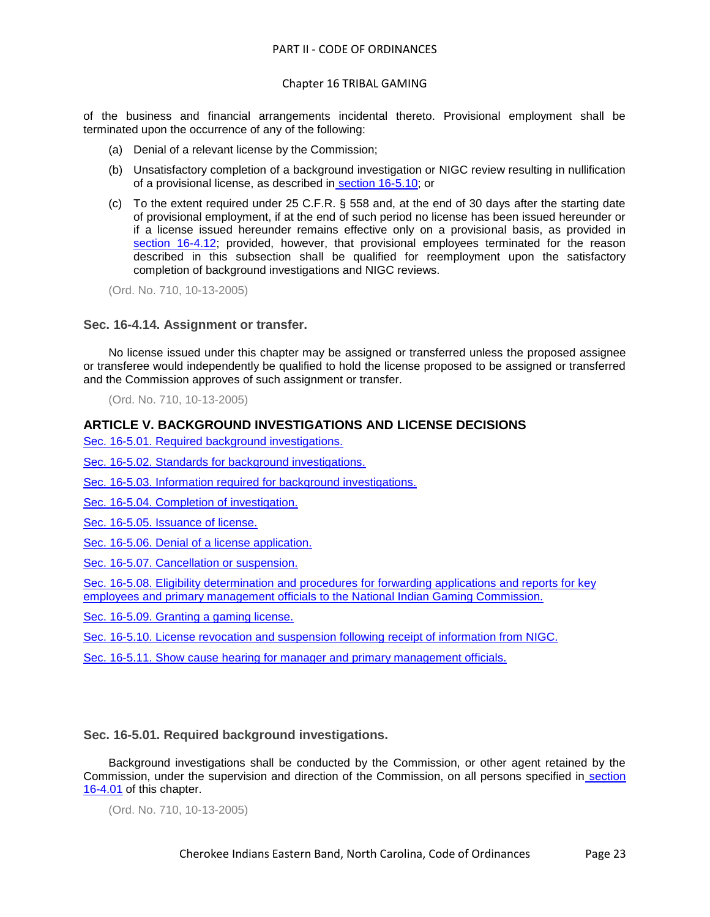#### Chapter 16 TRIBAL GAMING

of the business and financial arrangements incidental thereto. Provisional employment shall be terminated upon the occurrence of any of the following:

- (a) Denial of a relevant license by the Commission;
- (b) Unsatisfactory completion of a background investigation or NIGC review resulting in nullification of a provisional license, as described in [section 16-5.10;](../level3/PTIICOOR_CH16TRGA_ARTVBAINLIDE.docx#PTIICOOR_CH16TRGA_ARTVBAINLIDE_S16-5.10LIRESUFOREINNI) or
- (c) To the extent required under 25 C.F.R. § 558 and, at the end of 30 days after the starting date of provisional employment, if at the end of such period no license has been issued hereunder or if a license issued hereunder remains effective only on a provisional basis, as provided i[n](../level3/PTIICOOR_CH16TRGA_ARTIVLIAPPR.docx#PTIICOOR_CH16TRGA_ARTIVLIAPPR_S16-4.12PRLI) [section 16-4.12;](../level3/PTIICOOR_CH16TRGA_ARTIVLIAPPR.docx#PTIICOOR_CH16TRGA_ARTIVLIAPPR_S16-4.12PRLI) provided, however, that provisional employees terminated for the reason described in this subsection shall be qualified for reemployment upon the satisfactory completion of background investigations and NIGC reviews.

(Ord. No. 710, 10-13-2005)

#### <span id="page-22-0"></span>**Sec. 16-4.14. Assignment or transfer.**

No license issued under this chapter may be assigned or transferred unless the proposed assignee or transferee would independently be qualified to hold the license proposed to be assigned or transferred and the Commission approves of such assignment or transfer.

(Ord. No. 710, 10-13-2005)

#### **ARTICLE V. BACKGROUND INVESTIGATIONS AND LICENSE DECISIONS**

[Sec. 16-5.01. Required background investigations.](#page-22-1)

[Sec. 16-5.02. Standards for background investigations.](#page-23-0)

[Sec. 16-5.03. Information required for background investigations.](#page-23-1)

[Sec. 16-5.04. Completion of investigation.](#page-24-0)

[Sec. 16-5.05. Issuance of license.](#page-24-1)

[Sec. 16-5.06. Denial of a license application.](#page-24-2)

[Sec. 16-5.07. Cancellation or suspension.](#page-25-0)

[Sec. 16-5.08. Eligibility determination and procedures for forwarding applications and reports for key](#page-25-1)  [employees and primary management officials to the National Indian Gaming Commission.](#page-25-1)

[Sec. 16-5.09. Granting a gaming license.](#page-26-0)

[Sec. 16-5.10. License revocation and suspension following receipt of information from NIGC.](#page-26-1)

[Sec. 16-5.11. Show cause hearing for manager and primary management officials.](#page-26-2)

## <span id="page-22-1"></span>**Sec. 16-5.01. Required background investigations.**

Background investigations shall be conducted by the Commission, or other agent retained by the Commission, under the supervision and direction of the Commission, on all persons specified in [section](../level3/PTIICOOR_CH16TRGA_ARTIVLIAPPR.docx#PTIICOOR_CH16TRGA_ARTIVLIAPPR_S16-4.01GALIRE)  [16-4.01](../level3/PTIICOOR_CH16TRGA_ARTIVLIAPPR.docx#PTIICOOR_CH16TRGA_ARTIVLIAPPR_S16-4.01GALIRE) of this chapter.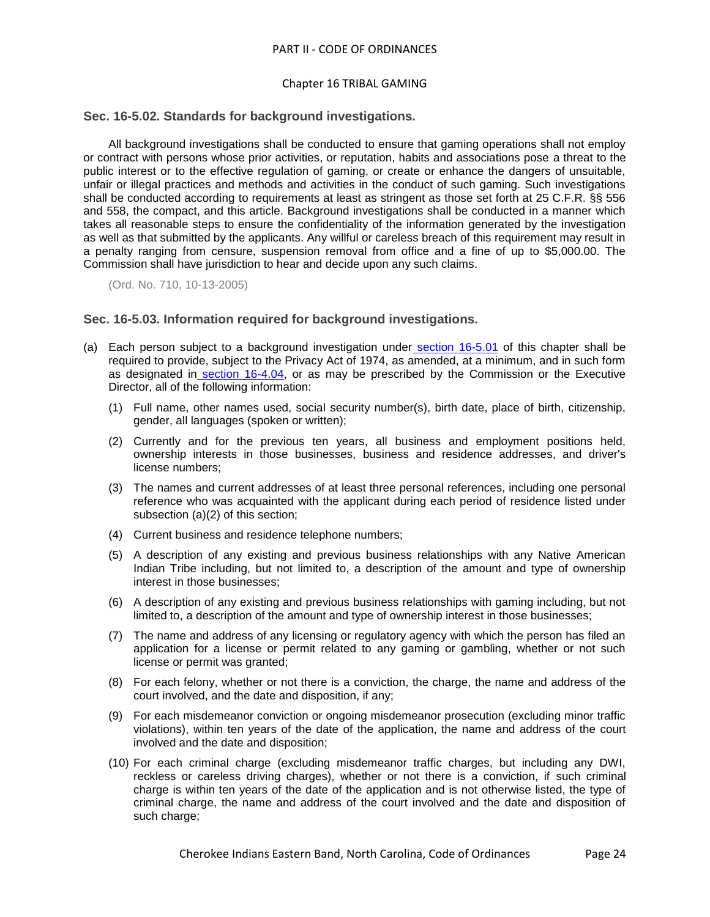#### Chapter 16 TRIBAL GAMING

#### <span id="page-23-0"></span>**Sec. 16-5.02. Standards for background investigations.**

All background investigations shall be conducted to ensure that gaming operations shall not employ or contract with persons whose prior activities, or reputation, habits and associations pose a threat to the public interest or to the effective regulation of gaming, or create or enhance the dangers of unsuitable, unfair or illegal practices and methods and activities in the conduct of such gaming. Such investigations shall be conducted according to requirements at least as stringent as those set forth at 25 C.F.R. §§ 556 and 558, the compact, and this article. Background investigations shall be conducted in a manner which takes all reasonable steps to ensure the confidentiality of the information generated by the investigation as well as that submitted by the applicants. Any willful or careless breach of this requirement may result in a penalty ranging from censure, suspension removal from office and a fine of up to \$5,000.00. The Commission shall have jurisdiction to hear and decide upon any such claims.

(Ord. No. 710, 10-13-2005)

### <span id="page-23-1"></span>**Sec. 16-5.03. Information required for background investigations.**

- (a) Each person subject to a background investigation under [section 16-5.01](../level3/PTIICOOR_CH16TRGA_ARTVBAINLIDE.docx#PTIICOOR_CH16TRGA_ARTVBAINLIDE_S16-5.01REBAIN) of this chapter shall be required to provide, subject to the Privacy Act of 1974, as amended, at a minimum, and in such form as designated in [section 16-4.04,](../level3/PTIICOOR_CH16TRGA_ARTIVLIAPPR.docx#PTIICOOR_CH16TRGA_ARTIVLIAPPR_S16-4.04REAPFO) or as may be prescribed by the Commission or the Executive Director, all of the following information:
	- (1) Full name, other names used, social security number(s), birth date, place of birth, citizenship, gender, all languages (spoken or written);
	- (2) Currently and for the previous ten years, all business and employment positions held, ownership interests in those businesses, business and residence addresses, and driver's license numbers;
	- (3) The names and current addresses of at least three personal references, including one personal reference who was acquainted with the applicant during each period of residence listed under subsection (a)(2) of this section;
	- (4) Current business and residence telephone numbers;
	- (5) A description of any existing and previous business relationships with any Native American Indian Tribe including, but not limited to, a description of the amount and type of ownership interest in those businesses;
	- (6) A description of any existing and previous business relationships with gaming including, but not limited to, a description of the amount and type of ownership interest in those businesses;
	- (7) The name and address of any licensing or regulatory agency with which the person has filed an application for a license or permit related to any gaming or gambling, whether or not such license or permit was granted;
	- (8) For each felony, whether or not there is a conviction, the charge, the name and address of the court involved, and the date and disposition, if any;
	- (9) For each misdemeanor conviction or ongoing misdemeanor prosecution (excluding minor traffic violations), within ten years of the date of the application, the name and address of the court involved and the date and disposition;
	- (10) For each criminal charge (excluding misdemeanor traffic charges, but including any DWI, reckless or careless driving charges), whether or not there is a conviction, if such criminal charge is within ten years of the date of the application and is not otherwise listed, the type of criminal charge, the name and address of the court involved and the date and disposition of such charge;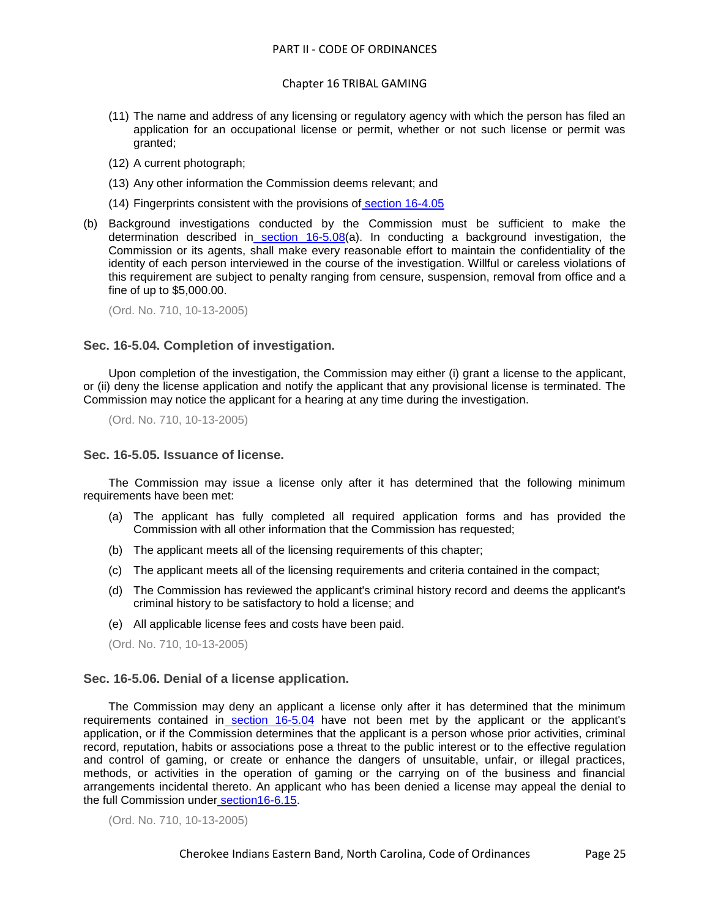#### Chapter 16 TRIBAL GAMING

- (11) The name and address of any licensing or regulatory agency with which the person has filed an application for an occupational license or permit, whether or not such license or permit was granted;
- (12) A current photograph;
- (13) Any other information the Commission deems relevant; and
- (14) Fingerprints consistent with the provisions of [section 16-4.05](../level3/PTIICOOR_CH16TRGA_ARTIVLIAPPR.docx#PTIICOOR_CH16TRGA_ARTIVLIAPPR_S16-4.05FICARE)
- (b) Background investigations conducted by the Commission must be sufficient to make the determination described in [section 16-5.08\(](../level3/PTIICOOR_CH16TRGA_ARTVBAINLIDE.docx#PTIICOOR_CH16TRGA_ARTVBAINLIDE_S16-5.08ELDEPRFOAPREKEEMPRMAOFNAINGACO)a). In conducting a background investigation, the Commission or its agents, shall make every reasonable effort to maintain the confidentiality of the identity of each person interviewed in the course of the investigation. Willful or careless violations of this requirement are subject to penalty ranging from censure, suspension, removal from office and a fine of up to \$5,000.00.

(Ord. No. 710, 10-13-2005)

#### <span id="page-24-0"></span>**Sec. 16-5.04. Completion of investigation.**

Upon completion of the investigation, the Commission may either (i) grant a license to the applicant, or (ii) deny the license application and notify the applicant that any provisional license is terminated. The Commission may notice the applicant for a hearing at any time during the investigation.

(Ord. No. 710, 10-13-2005)

#### <span id="page-24-1"></span>**Sec. 16-5.05. Issuance of license.**

The Commission may issue a license only after it has determined that the following minimum requirements have been met:

- (a) The applicant has fully completed all required application forms and has provided the Commission with all other information that the Commission has requested;
- (b) The applicant meets all of the licensing requirements of this chapter;
- (c) The applicant meets all of the licensing requirements and criteria contained in the compact;
- (d) The Commission has reviewed the applicant's criminal history record and deems the applicant's criminal history to be satisfactory to hold a license; and
- (e) All applicable license fees and costs have been paid.

(Ord. No. 710, 10-13-2005)

#### <span id="page-24-2"></span>**Sec. 16-5.06. Denial of a license application.**

The Commission may deny an applicant a license only after it has determined that the minimum requirements contained in [section 16-5.04](../level3/PTIICOOR_CH16TRGA_ARTVBAINLIDE.docx#PTIICOOR_CH16TRGA_ARTVBAINLIDE_S16-5.04COIN) have not been met by the applicant or the applicant's application, or if the Commission determines that the applicant is a person whose prior activities, criminal record, reputation, habits or associations pose a threat to the public interest or to the effective regulation and control of gaming, or create or enhance the dangers of unsuitable, unfair, or illegal practices, methods, or activities in the operation of gaming or the carrying on of the business and financial arrangements incidental thereto. An applicant who has been denied a license may appeal the denial to the full Commission under [section16-6.15.](../level3/PTIICOOR_CH16TRGA_ARTVIRUPRHE.docx#PTIICOOR_CH16TRGA_ARTVIRUPRHE_S16-6.15APOTADDE)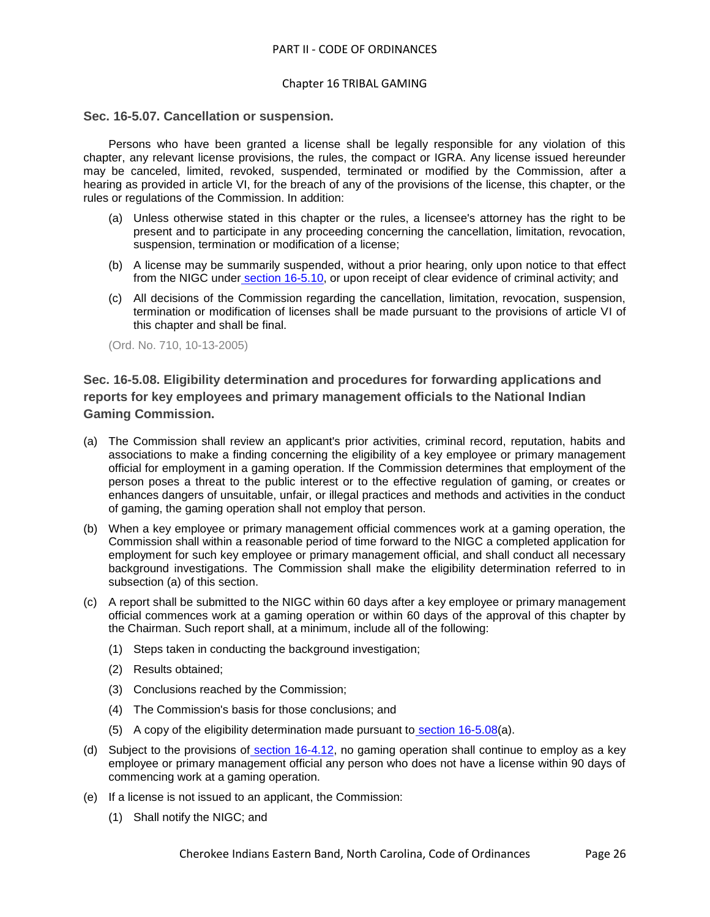#### <span id="page-25-0"></span>**Sec. 16-5.07. Cancellation or suspension.**

Persons who have been granted a license shall be legally responsible for any violation of this chapter, any relevant license provisions, the rules, the compact or IGRA. Any license issued hereunder may be canceled, limited, revoked, suspended, terminated or modified by the Commission, after a hearing as provided in article VI, for the breach of any of the provisions of the license, this chapter, or the rules or regulations of the Commission. In addition:

- (a) Unless otherwise stated in this chapter or the rules, a licensee's attorney has the right to be present and to participate in any proceeding concerning the cancellation, limitation, revocation, suspension, termination or modification of a license;
- (b) A license may be summarily suspended, without a prior hearing, only upon notice to that effect from the NIGC under [section 16-5.10,](../level3/PTIICOOR_CH16TRGA_ARTVBAINLIDE.docx#PTIICOOR_CH16TRGA_ARTVBAINLIDE_S16-5.10LIRESUFOREINNI) or upon receipt of clear evidence of criminal activity; and
- (c) All decisions of the Commission regarding the cancellation, limitation, revocation, suspension, termination or modification of licenses shall be made pursuant to the provisions of article VI of this chapter and shall be final.

(Ord. No. 710, 10-13-2005)

# <span id="page-25-1"></span>**Sec. 16-5.08. Eligibility determination and procedures for forwarding applications and reports for key employees and primary management officials to the National Indian Gaming Commission.**

- (a) The Commission shall review an applicant's prior activities, criminal record, reputation, habits and associations to make a finding concerning the eligibility of a key employee or primary management official for employment in a gaming operation. If the Commission determines that employment of the person poses a threat to the public interest or to the effective regulation of gaming, or creates or enhances dangers of unsuitable, unfair, or illegal practices and methods and activities in the conduct of gaming, the gaming operation shall not employ that person.
- (b) When a key employee or primary management official commences work at a gaming operation, the Commission shall within a reasonable period of time forward to the NIGC a completed application for employment for such key employee or primary management official, and shall conduct all necessary background investigations. The Commission shall make the eligibility determination referred to in subsection (a) of this section.
- (c) A report shall be submitted to the NIGC within 60 days after a key employee or primary management official commences work at a gaming operation or within 60 days of the approval of this chapter by the Chairman. Such report shall, at a minimum, include all of the following:
	- (1) Steps taken in conducting the background investigation;
	- (2) Results obtained;
	- (3) Conclusions reached by the Commission;
	- (4) The Commission's basis for those conclusions; and
	- (5) A copy of the eligibility determination made pursuant to [section 16-5.08\(](../level3/PTIICOOR_CH16TRGA_ARTVBAINLIDE.docx#PTIICOOR_CH16TRGA_ARTVBAINLIDE_S16-5.08ELDEPRFOAPREKEEMPRMAOFNAINGACO)a).
- (d) Subject to the provisions of [section 16-4.12,](../level3/PTIICOOR_CH16TRGA_ARTIVLIAPPR.docx#PTIICOOR_CH16TRGA_ARTIVLIAPPR_S16-4.12PRLI) no gaming operation shall continue to employ as a key employee or primary management official any person who does not have a license within 90 days of commencing work at a gaming operation.
- (e) If a license is not issued to an applicant, the Commission:
	- (1) Shall notify the NIGC; and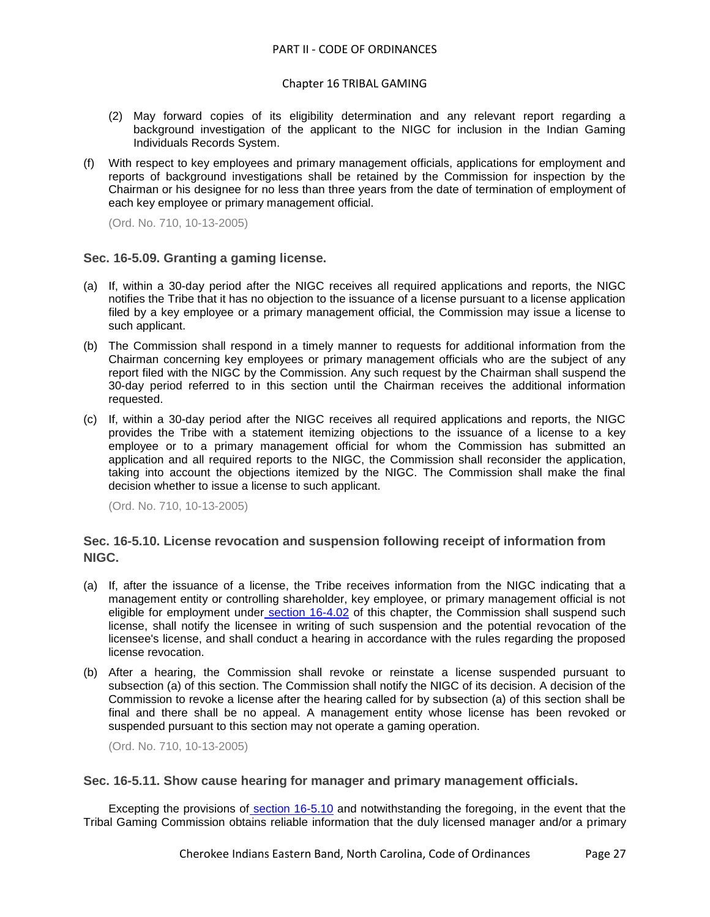## Chapter 16 TRIBAL GAMING

- (2) May forward copies of its eligibility determination and any relevant report regarding a background investigation of the applicant to the NIGC for inclusion in the Indian Gaming Individuals Records System.
- (f) With respect to key employees and primary management officials, applications for employment and reports of background investigations shall be retained by the Commission for inspection by the Chairman or his designee for no less than three years from the date of termination of employment of each key employee or primary management official.

(Ord. No. 710, 10-13-2005)

# <span id="page-26-0"></span>**Sec. 16-5.09. Granting a gaming license.**

- (a) If, within a 30-day period after the NIGC receives all required applications and reports, the NIGC notifies the Tribe that it has no objection to the issuance of a license pursuant to a license application filed by a key employee or a primary management official, the Commission may issue a license to such applicant.
- (b) The Commission shall respond in a timely manner to requests for additional information from the Chairman concerning key employees or primary management officials who are the subject of any report filed with the NIGC by the Commission. Any such request by the Chairman shall suspend the 30-day period referred to in this section until the Chairman receives the additional information requested.
- (c) If, within a 30-day period after the NIGC receives all required applications and reports, the NIGC provides the Tribe with a statement itemizing objections to the issuance of a license to a key employee or to a primary management official for whom the Commission has submitted an application and all required reports to the NIGC, the Commission shall reconsider the application, taking into account the objections itemized by the NIGC. The Commission shall make the final decision whether to issue a license to such applicant.

(Ord. No. 710, 10-13-2005)

# <span id="page-26-1"></span>**Sec. 16-5.10. License revocation and suspension following receipt of information from NIGC.**

- (a) If, after the issuance of a license, the Tribe receives information from the NIGC indicating that a management entity or controlling shareholder, key employee, or primary management official is not eligible for employment under [section 16-4.02](../level3/PTIICOOR_CH16TRGA_ARTIVLIAPPR.docx#PTIICOOR_CH16TRGA_ARTIVLIAPPR_S16-4.02STLI) of this chapter, the Commission shall suspend such license, shall notify the licensee in writing of such suspension and the potential revocation of the licensee's license, and shall conduct a hearing in accordance with the rules regarding the proposed license revocation.
- (b) After a hearing, the Commission shall revoke or reinstate a license suspended pursuant to subsection (a) of this section. The Commission shall notify the NIGC of its decision. A decision of the Commission to revoke a license after the hearing called for by subsection (a) of this section shall be final and there shall be no appeal. A management entity whose license has been revoked or suspended pursuant to this section may not operate a gaming operation.

(Ord. No. 710, 10-13-2005)

# <span id="page-26-2"></span>**Sec. 16-5.11. Show cause hearing for manager and primary management officials.**

Excepting the provisions of [section 16-5.10](../level3/PTIICOOR_CH16TRGA_ARTVBAINLIDE.docx#PTIICOOR_CH16TRGA_ARTVBAINLIDE_S16-5.10LIRESUFOREINNI) and notwithstanding the foregoing, in the event that the Tribal Gaming Commission obtains reliable information that the duly licensed manager and/or a primary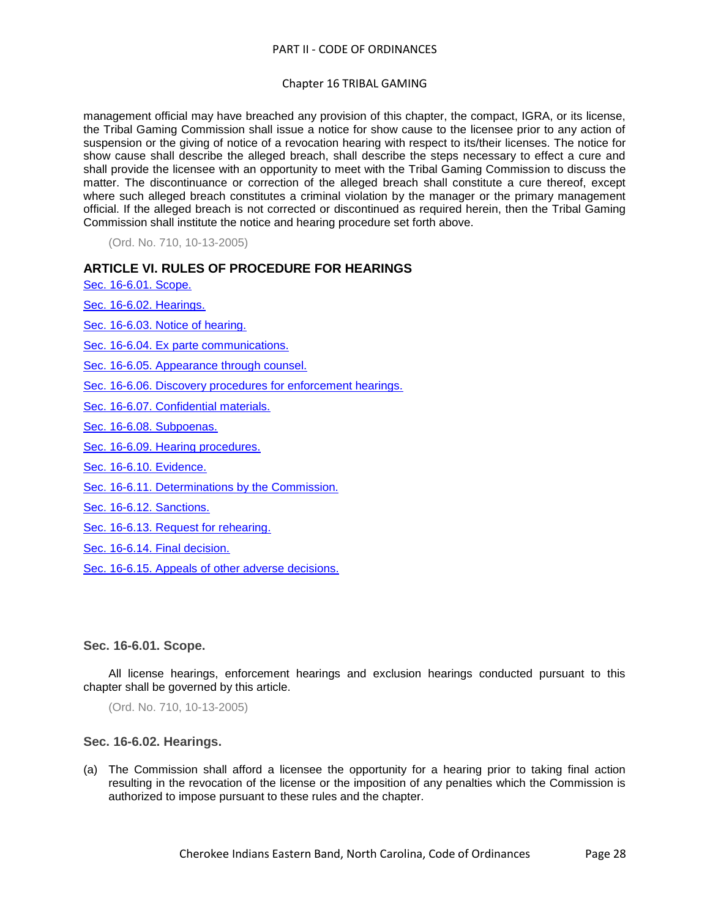#### Chapter 16 TRIBAL GAMING

management official may have breached any provision of this chapter, the compact, IGRA, or its license, the Tribal Gaming Commission shall issue a notice for show cause to the licensee prior to any action of suspension or the giving of notice of a revocation hearing with respect to its/their licenses. The notice for show cause shall describe the alleged breach, shall describe the steps necessary to effect a cure and shall provide the licensee with an opportunity to meet with the Tribal Gaming Commission to discuss the matter. The discontinuance or correction of the alleged breach shall constitute a cure thereof, except where such alleged breach constitutes a criminal violation by the manager or the primary management official. If the alleged breach is not corrected or discontinued as required herein, then the Tribal Gaming Commission shall institute the notice and hearing procedure set forth above.

(Ord. No. 710, 10-13-2005)

# **ARTICLE VI. RULES OF PROCEDURE FOR HEARINGS**

[Sec. 16-6.01. Scope.](#page-27-0)

[Sec. 16-6.02. Hearings.](#page-27-1)

[Sec. 16-6.03. Notice of hearing.](#page-28-0)

[Sec. 16-6.04. Ex parte communications.](#page-28-1)

[Sec. 16-6.05. Appearance through counsel.](#page-29-0)

[Sec. 16-6.06. Discovery procedures for enforcement hearings.](#page-29-1)

[Sec. 16-6.07. Confidential materials.](#page-30-0)

[Sec. 16-6.08. Subpoenas.](#page-31-0)

[Sec. 16-6.09. Hearing procedures.](#page-31-1)

[Sec. 16-6.10. Evidence.](#page-32-0)

[Sec. 16-6.11. Determinations by the Commission.](#page-32-1)

[Sec. 16-6.12. Sanctions.](#page-33-0)

[Sec. 16-6.13. Request for rehearing.](#page-33-1)

[Sec. 16-6.14. Final decision.](#page-33-2)

[Sec. 16-6.15. Appeals of other adverse decisions.](#page-33-3)

<span id="page-27-0"></span>**Sec. 16-6.01. Scope.**

All license hearings, enforcement hearings and exclusion hearings conducted pursuant to this chapter shall be governed by this article.

(Ord. No. 710, 10-13-2005)

## <span id="page-27-1"></span>**Sec. 16-6.02. Hearings.**

(a) The Commission shall afford a licensee the opportunity for a hearing prior to taking final action resulting in the revocation of the license or the imposition of any penalties which the Commission is authorized to impose pursuant to these rules and the chapter.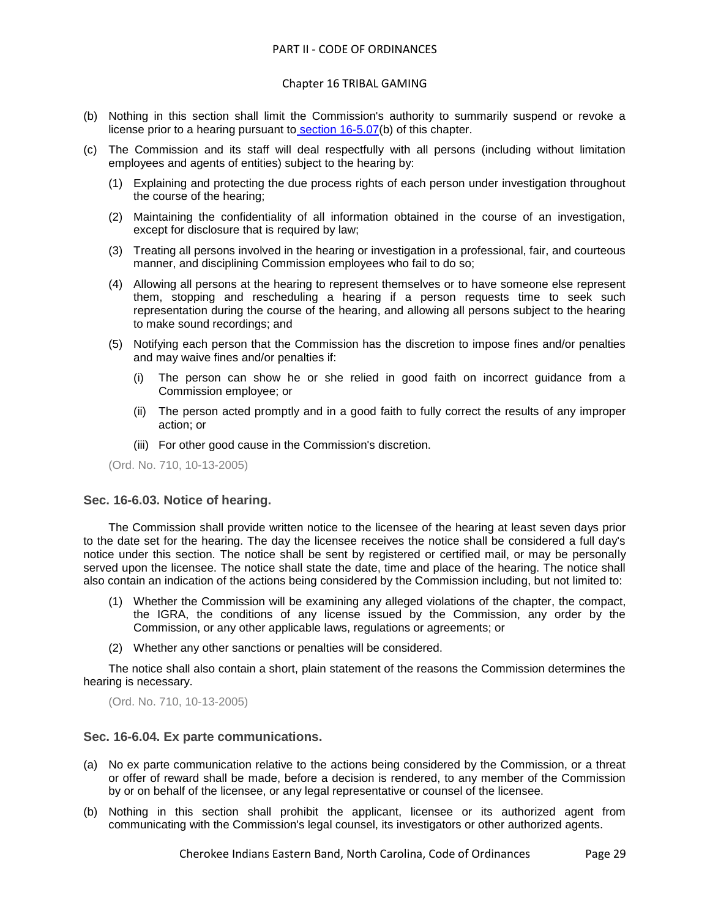#### Chapter 16 TRIBAL GAMING

- (b) Nothing in this section shall limit the Commission's authority to summarily suspend or revoke a license prior to a hearing pursuant to [section 16-5.07\(](../level3/PTIICOOR_CH16TRGA_ARTVBAINLIDE.docx#PTIICOOR_CH16TRGA_ARTVBAINLIDE_S16-5.07CASU)b) of this chapter.
- (c) The Commission and its staff will deal respectfully with all persons (including without limitation employees and agents of entities) subject to the hearing by:
	- (1) Explaining and protecting the due process rights of each person under investigation throughout the course of the hearing;
	- (2) Maintaining the confidentiality of all information obtained in the course of an investigation, except for disclosure that is required by law;
	- (3) Treating all persons involved in the hearing or investigation in a professional, fair, and courteous manner, and disciplining Commission employees who fail to do so;
	- (4) Allowing all persons at the hearing to represent themselves or to have someone else represent them, stopping and rescheduling a hearing if a person requests time to seek such representation during the course of the hearing, and allowing all persons subject to the hearing to make sound recordings; and
	- (5) Notifying each person that the Commission has the discretion to impose fines and/or penalties and may waive fines and/or penalties if:
		- (i) The person can show he or she relied in good faith on incorrect guidance from a Commission employee; or
		- (ii) The person acted promptly and in a good faith to fully correct the results of any improper action; or
		- (iii) For other good cause in the Commission's discretion.

(Ord. No. 710, 10-13-2005)

#### <span id="page-28-0"></span>**Sec. 16-6.03. Notice of hearing.**

The Commission shall provide written notice to the licensee of the hearing at least seven days prior to the date set for the hearing. The day the licensee receives the notice shall be considered a full day's notice under this section. The notice shall be sent by registered or certified mail, or may be personally served upon the licensee. The notice shall state the date, time and place of the hearing. The notice shall also contain an indication of the actions being considered by the Commission including, but not limited to:

- (1) Whether the Commission will be examining any alleged violations of the chapter, the compact, the IGRA, the conditions of any license issued by the Commission, any order by the Commission, or any other applicable laws, regulations or agreements; or
- (2) Whether any other sanctions or penalties will be considered.

The notice shall also contain a short, plain statement of the reasons the Commission determines the hearing is necessary.

(Ord. No. 710, 10-13-2005)

#### <span id="page-28-1"></span>**Sec. 16-6.04. Ex parte communications.**

- (a) No ex parte communication relative to the actions being considered by the Commission, or a threat or offer of reward shall be made, before a decision is rendered, to any member of the Commission by or on behalf of the licensee, or any legal representative or counsel of the licensee.
- (b) Nothing in this section shall prohibit the applicant, licensee or its authorized agent from communicating with the Commission's legal counsel, its investigators or other authorized agents.

Cherokee Indians Eastern Band, North Carolina, Code of Ordinances Page 29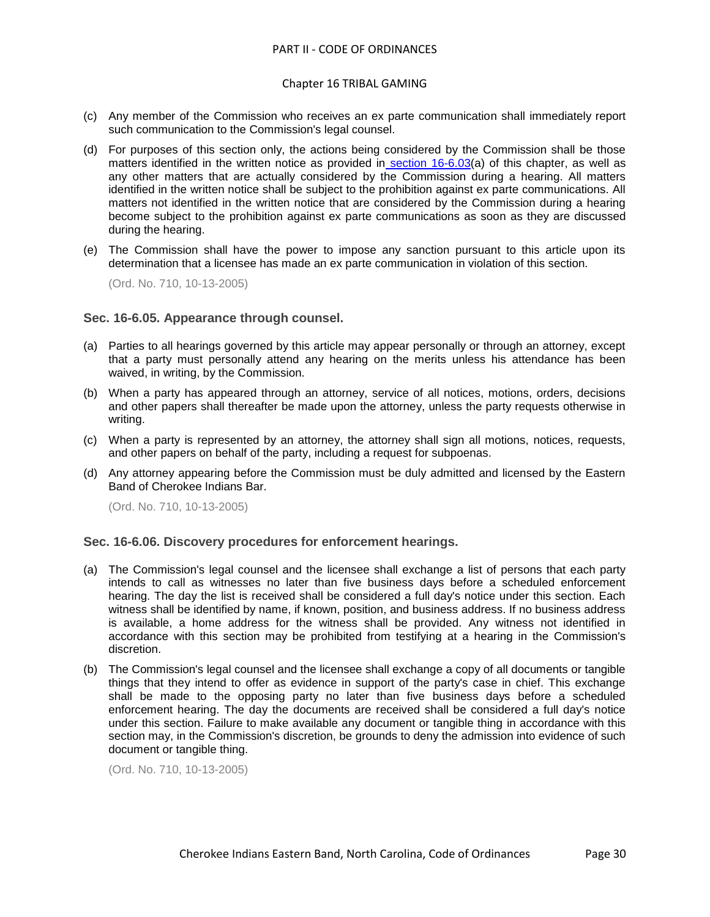- (c) Any member of the Commission who receives an ex parte communication shall immediately report such communication to the Commission's legal counsel.
- (d) For purposes of this section only, the actions being considered by the Commission shall be those matters identified in the written notice as provided in [section 16-6.03\(](../level3/PTIICOOR_CH16TRGA_ARTVIRUPRHE.docx#PTIICOOR_CH16TRGA_ARTVIRUPRHE_S16-6.03NOHE)a) of this chapter, as well as any other matters that are actually considered by the Commission during a hearing. All matters identified in the written notice shall be subject to the prohibition against ex parte communications. All matters not identified in the written notice that are considered by the Commission during a hearing become subject to the prohibition against ex parte communications as soon as they are discussed during the hearing.
- (e) The Commission shall have the power to impose any sanction pursuant to this article upon its determination that a licensee has made an ex parte communication in violation of this section.

(Ord. No. 710, 10-13-2005)

#### <span id="page-29-0"></span>**Sec. 16-6.05. Appearance through counsel.**

- (a) Parties to all hearings governed by this article may appear personally or through an attorney, except that a party must personally attend any hearing on the merits unless his attendance has been waived, in writing, by the Commission.
- (b) When a party has appeared through an attorney, service of all notices, motions, orders, decisions and other papers shall thereafter be made upon the attorney, unless the party requests otherwise in writing.
- (c) When a party is represented by an attorney, the attorney shall sign all motions, notices, requests, and other papers on behalf of the party, including a request for subpoenas.
- (d) Any attorney appearing before the Commission must be duly admitted and licensed by the Eastern Band of Cherokee Indians Bar.

(Ord. No. 710, 10-13-2005)

## <span id="page-29-1"></span>**Sec. 16-6.06. Discovery procedures for enforcement hearings.**

- (a) The Commission's legal counsel and the licensee shall exchange a list of persons that each party intends to call as witnesses no later than five business days before a scheduled enforcement hearing. The day the list is received shall be considered a full day's notice under this section. Each witness shall be identified by name, if known, position, and business address. If no business address is available, a home address for the witness shall be provided. Any witness not identified in accordance with this section may be prohibited from testifying at a hearing in the Commission's discretion.
- (b) The Commission's legal counsel and the licensee shall exchange a copy of all documents or tangible things that they intend to offer as evidence in support of the party's case in chief. This exchange shall be made to the opposing party no later than five business days before a scheduled enforcement hearing. The day the documents are received shall be considered a full day's notice under this section. Failure to make available any document or tangible thing in accordance with this section may, in the Commission's discretion, be grounds to deny the admission into evidence of such document or tangible thing.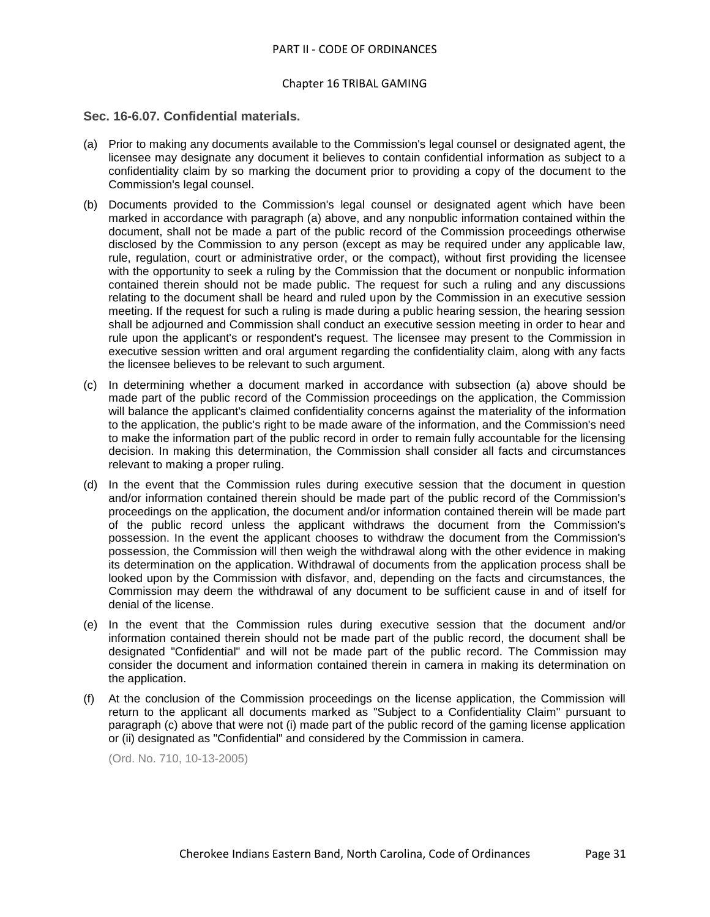#### <span id="page-30-0"></span>**Sec. 16-6.07. Confidential materials.**

- (a) Prior to making any documents available to the Commission's legal counsel or designated agent, the licensee may designate any document it believes to contain confidential information as subject to a confidentiality claim by so marking the document prior to providing a copy of the document to the Commission's legal counsel.
- (b) Documents provided to the Commission's legal counsel or designated agent which have been marked in accordance with paragraph (a) above, and any nonpublic information contained within the document, shall not be made a part of the public record of the Commission proceedings otherwise disclosed by the Commission to any person (except as may be required under any applicable law, rule, regulation, court or administrative order, or the compact), without first providing the licensee with the opportunity to seek a ruling by the Commission that the document or nonpublic information contained therein should not be made public. The request for such a ruling and any discussions relating to the document shall be heard and ruled upon by the Commission in an executive session meeting. If the request for such a ruling is made during a public hearing session, the hearing session shall be adjourned and Commission shall conduct an executive session meeting in order to hear and rule upon the applicant's or respondent's request. The licensee may present to the Commission in executive session written and oral argument regarding the confidentiality claim, along with any facts the licensee believes to be relevant to such argument.
- (c) In determining whether a document marked in accordance with subsection (a) above should be made part of the public record of the Commission proceedings on the application, the Commission will balance the applicant's claimed confidentiality concerns against the materiality of the information to the application, the public's right to be made aware of the information, and the Commission's need to make the information part of the public record in order to remain fully accountable for the licensing decision. In making this determination, the Commission shall consider all facts and circumstances relevant to making a proper ruling.
- (d) In the event that the Commission rules during executive session that the document in question and/or information contained therein should be made part of the public record of the Commission's proceedings on the application, the document and/or information contained therein will be made part of the public record unless the applicant withdraws the document from the Commission's possession. In the event the applicant chooses to withdraw the document from the Commission's possession, the Commission will then weigh the withdrawal along with the other evidence in making its determination on the application. Withdrawal of documents from the application process shall be looked upon by the Commission with disfavor, and, depending on the facts and circumstances, the Commission may deem the withdrawal of any document to be sufficient cause in and of itself for denial of the license.
- (e) In the event that the Commission rules during executive session that the document and/or information contained therein should not be made part of the public record, the document shall be designated "Confidential" and will not be made part of the public record. The Commission may consider the document and information contained therein in camera in making its determination on the application.
- (f) At the conclusion of the Commission proceedings on the license application, the Commission will return to the applicant all documents marked as "Subject to a Confidentiality Claim" pursuant to paragraph (c) above that were not (i) made part of the public record of the gaming license application or (ii) designated as "Confidential" and considered by the Commission in camera.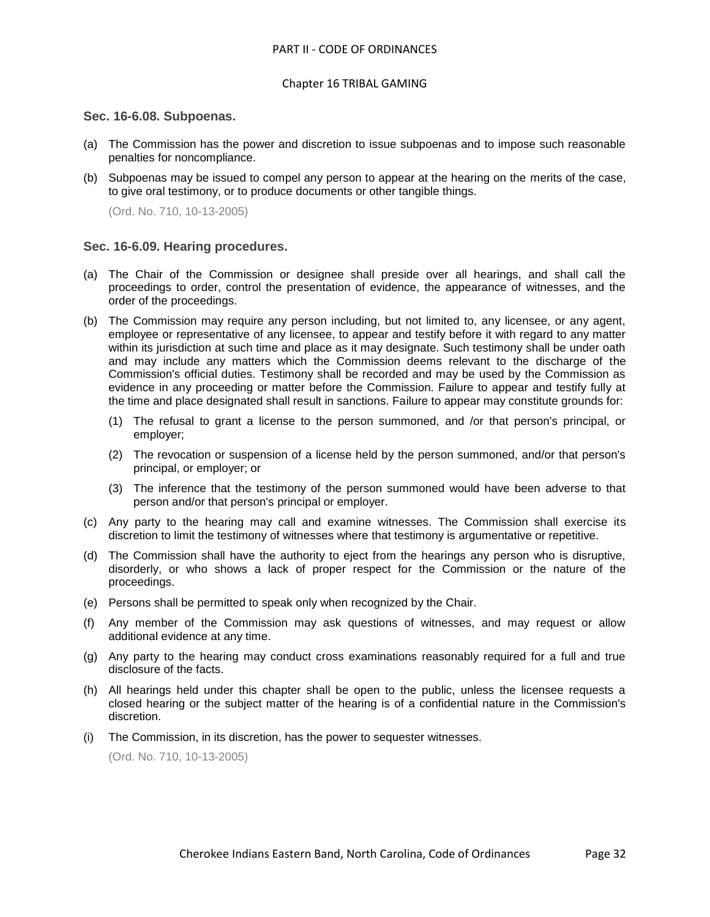#### <span id="page-31-0"></span>**Sec. 16-6.08. Subpoenas.**

- (a) The Commission has the power and discretion to issue subpoenas and to impose such reasonable penalties for noncompliance.
- (b) Subpoenas may be issued to compel any person to appear at the hearing on the merits of the case, to give oral testimony, or to produce documents or other tangible things.

(Ord. No. 710, 10-13-2005)

#### <span id="page-31-1"></span>**Sec. 16-6.09. Hearing procedures.**

- (a) The Chair of the Commission or designee shall preside over all hearings, and shall call the proceedings to order, control the presentation of evidence, the appearance of witnesses, and the order of the proceedings.
- (b) The Commission may require any person including, but not limited to, any licensee, or any agent, employee or representative of any licensee, to appear and testify before it with regard to any matter within its jurisdiction at such time and place as it may designate. Such testimony shall be under oath and may include any matters which the Commission deems relevant to the discharge of the Commission's official duties. Testimony shall be recorded and may be used by the Commission as evidence in any proceeding or matter before the Commission. Failure to appear and testify fully at the time and place designated shall result in sanctions. Failure to appear may constitute grounds for:
	- (1) The refusal to grant a license to the person summoned, and /or that person's principal, or employer;
	- (2) The revocation or suspension of a license held by the person summoned, and/or that person's principal, or employer; or
	- (3) The inference that the testimony of the person summoned would have been adverse to that person and/or that person's principal or employer.
- (c) Any party to the hearing may call and examine witnesses. The Commission shall exercise its discretion to limit the testimony of witnesses where that testimony is argumentative or repetitive.
- (d) The Commission shall have the authority to eject from the hearings any person who is disruptive, disorderly, or who shows a lack of proper respect for the Commission or the nature of the proceedings.
- (e) Persons shall be permitted to speak only when recognized by the Chair.
- (f) Any member of the Commission may ask questions of witnesses, and may request or allow additional evidence at any time.
- (g) Any party to the hearing may conduct cross examinations reasonably required for a full and true disclosure of the facts.
- (h) All hearings held under this chapter shall be open to the public, unless the licensee requests a closed hearing or the subject matter of the hearing is of a confidential nature in the Commission's discretion.
- (i) The Commission, in its discretion, has the power to sequester witnesses.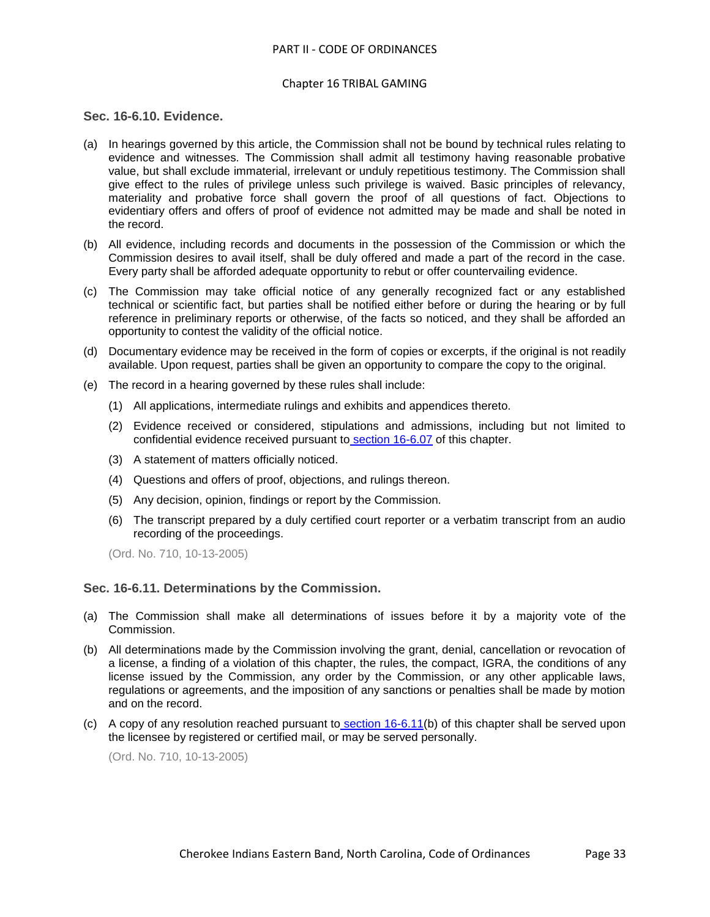# <span id="page-32-0"></span>**Sec. 16-6.10. Evidence.**

- (a) In hearings governed by this article, the Commission shall not be bound by technical rules relating to evidence and witnesses. The Commission shall admit all testimony having reasonable probative value, but shall exclude immaterial, irrelevant or unduly repetitious testimony. The Commission shall give effect to the rules of privilege unless such privilege is waived. Basic principles of relevancy, materiality and probative force shall govern the proof of all questions of fact. Objections to evidentiary offers and offers of proof of evidence not admitted may be made and shall be noted in the record.
- (b) All evidence, including records and documents in the possession of the Commission or which the Commission desires to avail itself, shall be duly offered and made a part of the record in the case. Every party shall be afforded adequate opportunity to rebut or offer countervailing evidence.
- (c) The Commission may take official notice of any generally recognized fact or any established technical or scientific fact, but parties shall be notified either before or during the hearing or by full reference in preliminary reports or otherwise, of the facts so noticed, and they shall be afforded an opportunity to contest the validity of the official notice.
- (d) Documentary evidence may be received in the form of copies or excerpts, if the original is not readily available. Upon request, parties shall be given an opportunity to compare the copy to the original.
- (e) The record in a hearing governed by these rules shall include:
	- (1) All applications, intermediate rulings and exhibits and appendices thereto.
	- (2) Evidence received or considered, stipulations and admissions, including but not limited to confidential evidence received pursuant to [section 16-6.07](../level3/PTIICOOR_CH16TRGA_ARTVIRUPRHE.docx#PTIICOOR_CH16TRGA_ARTVIRUPRHE_S16-6.07COMA) of this chapter.
	- (3) A statement of matters officially noticed.
	- (4) Questions and offers of proof, objections, and rulings thereon.
	- (5) Any decision, opinion, findings or report by the Commission.
	- (6) The transcript prepared by a duly certified court reporter or a verbatim transcript from an audio recording of the proceedings.

(Ord. No. 710, 10-13-2005)

## <span id="page-32-1"></span>**Sec. 16-6.11. Determinations by the Commission.**

- (a) The Commission shall make all determinations of issues before it by a majority vote of the Commission.
- (b) All determinations made by the Commission involving the grant, denial, cancellation or revocation of a license, a finding of a violation of this chapter, the rules, the compact, IGRA, the conditions of any license issued by the Commission, any order by the Commission, or any other applicable laws, regulations or agreements, and the imposition of any sanctions or penalties shall be made by motion and on the record.
- (c) A copy of any resolution reached pursuant to [section 16-6.11\(](../level3/PTIICOOR_CH16TRGA_ARTVIRUPRHE.docx#PTIICOOR_CH16TRGA_ARTVIRUPRHE_S16-6.11DECO)b) of this chapter shall be served upon the licensee by registered or certified mail, or may be served personally.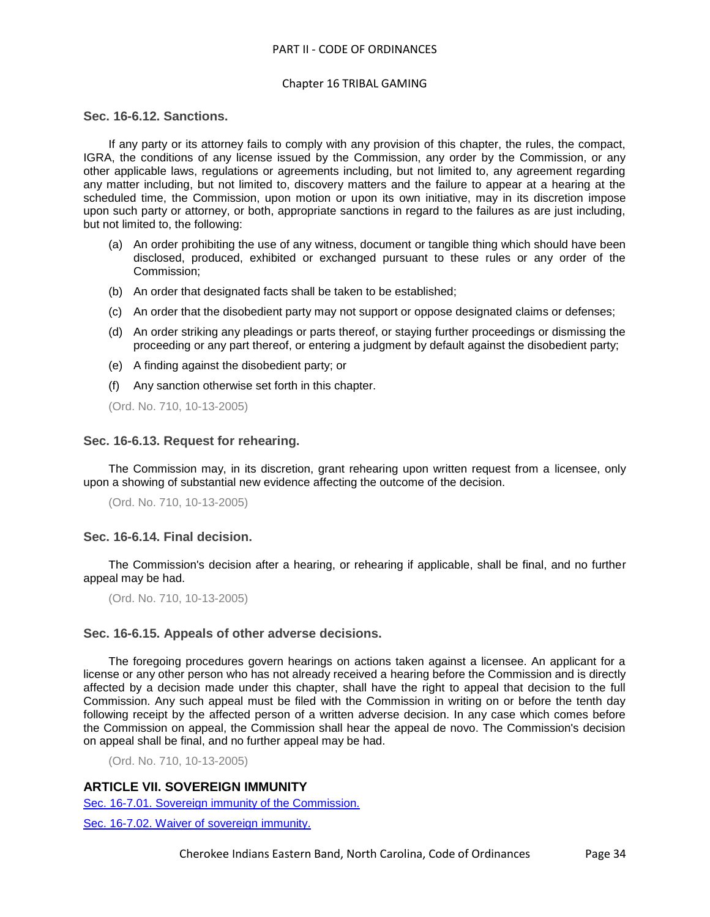#### Chapter 16 TRIBAL GAMING

# <span id="page-33-0"></span>**Sec. 16-6.12. Sanctions.**

If any party or its attorney fails to comply with any provision of this chapter, the rules, the compact, IGRA, the conditions of any license issued by the Commission, any order by the Commission, or any other applicable laws, regulations or agreements including, but not limited to, any agreement regarding any matter including, but not limited to, discovery matters and the failure to appear at a hearing at the scheduled time, the Commission, upon motion or upon its own initiative, may in its discretion impose upon such party or attorney, or both, appropriate sanctions in regard to the failures as are just including, but not limited to, the following:

- (a) An order prohibiting the use of any witness, document or tangible thing which should have been disclosed, produced, exhibited or exchanged pursuant to these rules or any order of the Commission;
- (b) An order that designated facts shall be taken to be established;
- (c) An order that the disobedient party may not support or oppose designated claims or defenses;
- (d) An order striking any pleadings or parts thereof, or staying further proceedings or dismissing the proceeding or any part thereof, or entering a judgment by default against the disobedient party;
- (e) A finding against the disobedient party; or
- (f) Any sanction otherwise set forth in this chapter.

(Ord. No. 710, 10-13-2005)

### <span id="page-33-1"></span>**Sec. 16-6.13. Request for rehearing.**

The Commission may, in its discretion, grant rehearing upon written request from a licensee, only upon a showing of substantial new evidence affecting the outcome of the decision.

(Ord. No. 710, 10-13-2005)

## <span id="page-33-2"></span>**Sec. 16-6.14. Final decision.**

The Commission's decision after a hearing, or rehearing if applicable, shall be final, and no further appeal may be had.

(Ord. No. 710, 10-13-2005)

#### <span id="page-33-3"></span>**Sec. 16-6.15. Appeals of other adverse decisions.**

The foregoing procedures govern hearings on actions taken against a licensee. An applicant for a license or any other person who has not already received a hearing before the Commission and is directly affected by a decision made under this chapter, shall have the right to appeal that decision to the full Commission. Any such appeal must be filed with the Commission in writing on or before the tenth day following receipt by the affected person of a written adverse decision. In any case which comes before the Commission on appeal, the Commission shall hear the appeal de novo. The Commission's decision on appeal shall be final, and no further appeal may be had.

(Ord. No. 710, 10-13-2005)

**ARTICLE VII. SOVEREIGN IMMUNITY**

[Sec. 16-7.01. Sovereign immunity of the Commission.](#page-34-0)

[Sec. 16-7.02. Waiver of sovereign](#page-34-1) immunity.

Cherokee Indians Eastern Band, North Carolina, Code of Ordinances Page 34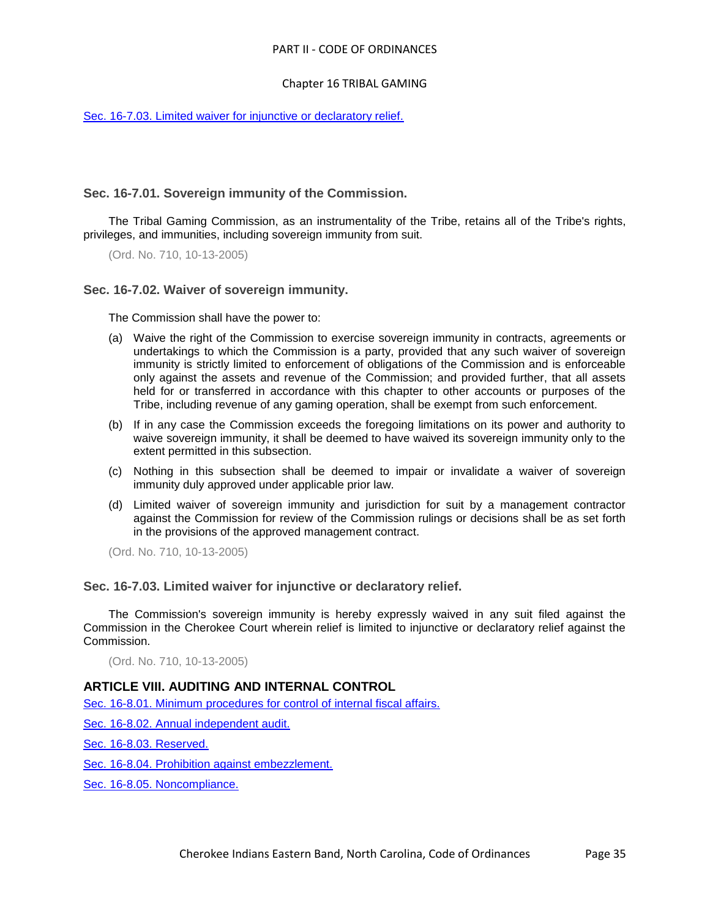## Chapter 16 TRIBAL GAMING

[Sec. 16-7.03. Limited waiver for injunctive or declaratory relief.](#page-34-2)

# <span id="page-34-0"></span>**Sec. 16-7.01. Sovereign immunity of the Commission.**

The Tribal Gaming Commission, as an instrumentality of the Tribe, retains all of the Tribe's rights, privileges, and immunities, including sovereign immunity from suit.

(Ord. No. 710, 10-13-2005)

## <span id="page-34-1"></span>**Sec. 16-7.02. Waiver of sovereign immunity.**

The Commission shall have the power to:

- (a) Waive the right of the Commission to exercise sovereign immunity in contracts, agreements or undertakings to which the Commission is a party, provided that any such waiver of sovereign immunity is strictly limited to enforcement of obligations of the Commission and is enforceable only against the assets and revenue of the Commission; and provided further, that all assets held for or transferred in accordance with this chapter to other accounts or purposes of the Tribe, including revenue of any gaming operation, shall be exempt from such enforcement.
- (b) If in any case the Commission exceeds the foregoing limitations on its power and authority to waive sovereign immunity, it shall be deemed to have waived its sovereign immunity only to the extent permitted in this subsection.
- (c) Nothing in this subsection shall be deemed to impair or invalidate a waiver of sovereign immunity duly approved under applicable prior law.
- (d) Limited waiver of sovereign immunity and jurisdiction for suit by a management contractor against the Commission for review of the Commission rulings or decisions shall be as set forth in the provisions of the approved management contract.

(Ord. No. 710, 10-13-2005)

#### <span id="page-34-2"></span>**Sec. 16-7.03. Limited waiver for injunctive or declaratory relief.**

The Commission's sovereign immunity is hereby expressly waived in any suit filed against the Commission in the Cherokee Court wherein relief is limited to injunctive or declaratory relief against the Commission.

(Ord. No. 710, 10-13-2005)

# **ARTICLE VIII. AUDITING AND INTERNAL CONTROL**

[Sec. 16-8.01. Minimum procedures for control of internal fiscal affairs.](#page-35-0)

[Sec. 16-8.02. Annual independent audit.](#page-35-1)

[Sec. 16-8.03. Reserved.](#page-36-0)

[Sec. 16-8.04. Prohibition against embezzlement.](#page-36-1)

[Sec. 16-8.05. Noncompliance.](#page-36-2)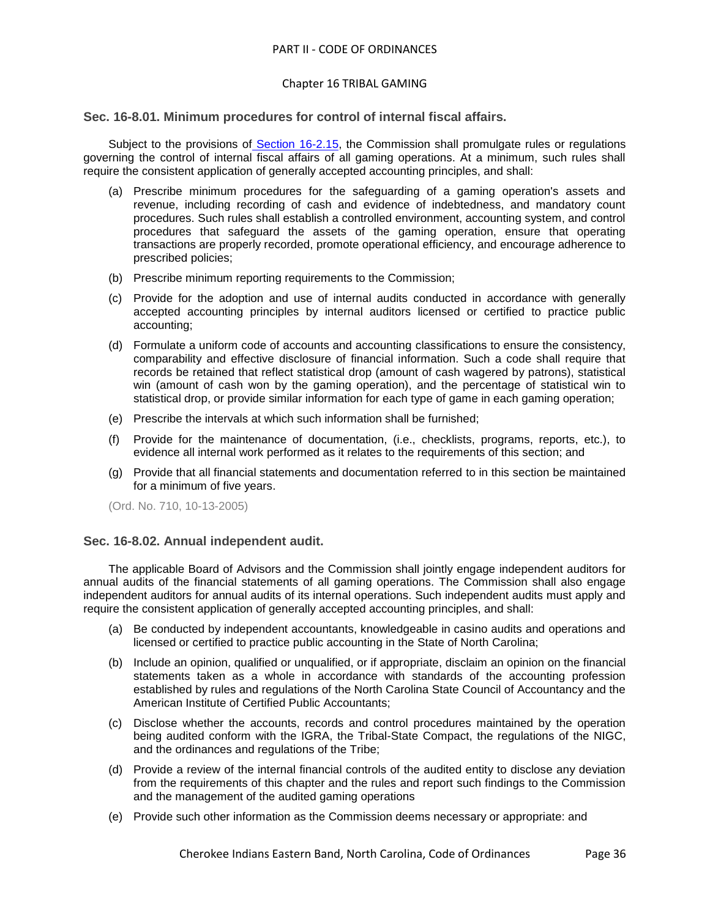#### Chapter 16 TRIBAL GAMING

#### <span id="page-35-0"></span>**Sec. 16-8.01. Minimum procedures for control of internal fiscal affairs.**

Subject to the provisions of [Section 16-2.15,](../level3/PTIICOOR_CH16TRGA_ARTII._TRIBAL_GAMING_COMMISSION.docx#PTIICOOR_CH16TRGA_ARTII._TRIBAL_GAMING_COMMISSION_S16-2.15PRGARURE) the Commission shall promulgate rules or regulations governing the control of internal fiscal affairs of all gaming operations. At a minimum, such rules shall require the consistent application of generally accepted accounting principles, and shall:

- (a) Prescribe minimum procedures for the safeguarding of a gaming operation's assets and revenue, including recording of cash and evidence of indebtedness, and mandatory count procedures. Such rules shall establish a controlled environment, accounting system, and control procedures that safeguard the assets of the gaming operation, ensure that operating transactions are properly recorded, promote operational efficiency, and encourage adherence to prescribed policies;
- (b) Prescribe minimum reporting requirements to the Commission;
- (c) Provide for the adoption and use of internal audits conducted in accordance with generally accepted accounting principles by internal auditors licensed or certified to practice public accounting;
- (d) Formulate a uniform code of accounts and accounting classifications to ensure the consistency, comparability and effective disclosure of financial information. Such a code shall require that records be retained that reflect statistical drop (amount of cash wagered by patrons), statistical win (amount of cash won by the gaming operation), and the percentage of statistical win to statistical drop, or provide similar information for each type of game in each gaming operation;
- (e) Prescribe the intervals at which such information shall be furnished;
- (f) Provide for the maintenance of documentation, (i.e., checklists, programs, reports, etc.), to evidence all internal work performed as it relates to the requirements of this section; and
- (g) Provide that all financial statements and documentation referred to in this section be maintained for a minimum of five years.

(Ord. No. 710, 10-13-2005)

#### <span id="page-35-1"></span>**Sec. 16-8.02. Annual independent audit.**

The applicable Board of Advisors and the Commission shall jointly engage independent auditors for annual audits of the financial statements of all gaming operations. The Commission shall also engage independent auditors for annual audits of its internal operations. Such independent audits must apply and require the consistent application of generally accepted accounting principles, and shall:

- (a) Be conducted by independent accountants, knowledgeable in casino audits and operations and licensed or certified to practice public accounting in the State of North Carolina;
- (b) Include an opinion, qualified or unqualified, or if appropriate, disclaim an opinion on the financial statements taken as a whole in accordance with standards of the accounting profession established by rules and regulations of the North Carolina State Council of Accountancy and the American Institute of Certified Public Accountants;
- (c) Disclose whether the accounts, records and control procedures maintained by the operation being audited conform with the IGRA, the Tribal-State Compact, the regulations of the NIGC, and the ordinances and regulations of the Tribe;
- (d) Provide a review of the internal financial controls of the audited entity to disclose any deviation from the requirements of this chapter and the rules and report such findings to the Commission and the management of the audited gaming operations
- (e) Provide such other information as the Commission deems necessary or appropriate: and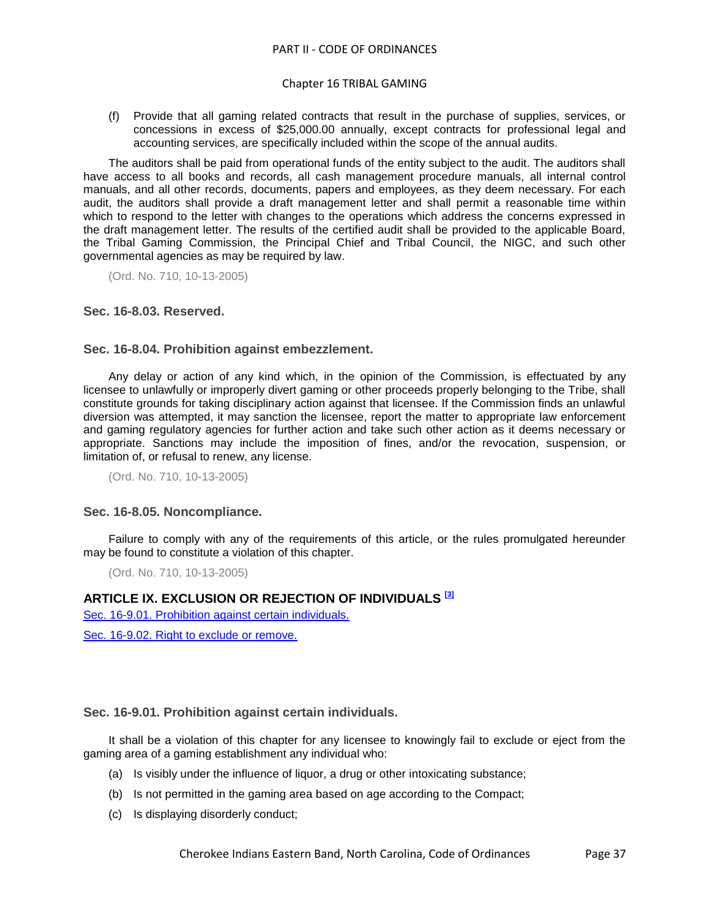## Chapter 16 TRIBAL GAMING

(f) Provide that all gaming related contracts that result in the purchase of supplies, services, or concessions in excess of \$25,000.00 annually, except contracts for professional legal and accounting services, are specifically included within the scope of the annual audits.

The auditors shall be paid from operational funds of the entity subject to the audit. The auditors shall have access to all books and records, all cash management procedure manuals, all internal control manuals, and all other records, documents, papers and employees, as they deem necessary. For each audit, the auditors shall provide a draft management letter and shall permit a reasonable time within which to respond to the letter with changes to the operations which address the concerns expressed in the draft management letter. The results of the certified audit shall be provided to the applicable Board, the Tribal Gaming Commission, the Principal Chief and Tribal Council, the NIGC, and such other governmental agencies as may be required by law.

(Ord. No. 710, 10-13-2005)

## <span id="page-36-0"></span>**Sec. 16-8.03. Reserved.**

## <span id="page-36-1"></span>**Sec. 16-8.04. Prohibition against embezzlement.**

Any delay or action of any kind which, in the opinion of the Commission, is effectuated by any licensee to unlawfully or improperly divert gaming or other proceeds properly belonging to the Tribe, shall constitute grounds for taking disciplinary action against that licensee. If the Commission finds an unlawful diversion was attempted, it may sanction the licensee, report the matter to appropriate law enforcement and gaming regulatory agencies for further action and take such other action as it deems necessary or appropriate. Sanctions may include the imposition of fines, and/or the revocation, suspension, or limitation of, or refusal to renew, any license.

(Ord. No. 710, 10-13-2005)

#### <span id="page-36-2"></span>**Sec. 16-8.05. Noncompliance.**

Failure to comply with any of the requirements of this article, or the rules promulgated hereunder may be found to constitute a violation of this chapter.

(Ord. No. 710, 10-13-2005)

# **ARTICLE IX. EXCLUSION OR REJECTION OF INDIVIDUALS [3]**

[Sec. 16-9.01. Prohibition against certain individuals.](#page-36-3)

[Sec. 16-9.02. Right to exclude or remove.](#page-37-0)

<span id="page-36-3"></span>**Sec. 16-9.01. Prohibition against certain individuals.**

It shall be a violation of this chapter for any licensee to knowingly fail to exclude or eject from the gaming area of a gaming establishment any individual who:

- (a) Is visibly under the influence of liquor, a drug or other intoxicating substance;
- (b) Is not permitted in the gaming area based on age according to the Compact;
- (c) Is displaying disorderly conduct;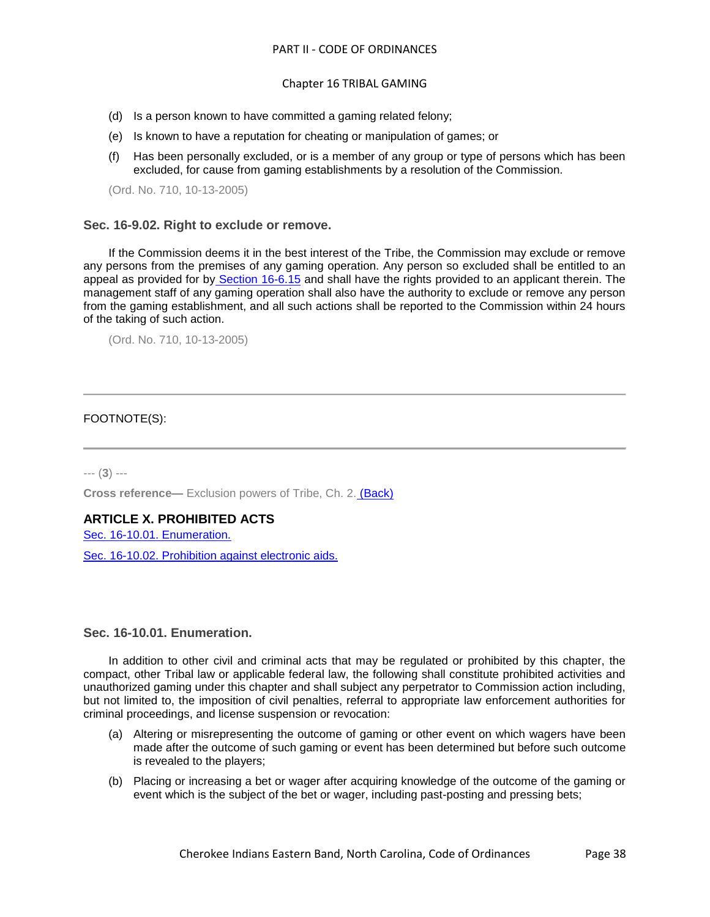## Chapter 16 TRIBAL GAMING

- (d) Is a person known to have committed a gaming related felony;
- (e) Is known to have a reputation for cheating or manipulation of games; or
- (f) Has been personally excluded, or is a member of any group or type of persons which has been excluded, for cause from gaming establishments by a resolution of the Commission.

(Ord. No. 710, 10-13-2005)

#### <span id="page-37-0"></span>**Sec. 16-9.02. Right to exclude or remove.**

If the Commission deems it in the best interest of the Tribe, the Commission may exclude or remove any persons from the premises of any gaming operation. Any person so excluded shall be entitled to an appeal as provided for by [Section 16-6.15](../level3/PTIICOOR_CH16TRGA_ARTVIRUPRHE.docx#PTIICOOR_CH16TRGA_ARTVIRUPRHE_S16-6.15APOTADDE) and shall have the rights provided to an applicant therein. The management staff of any gaming operation shall also have the authority to exclude or remove any person from the gaming establishment, and all such actions shall be reported to the Commission within 24 hours of the taking of such action.

(Ord. No. 710, 10-13-2005)

#### FOOTNOTE(S):

--- (**3**) ---

**Cross reference—** Exclusion powers of Tribe, Ch. 2. (Back)

# **ARTICLE X. PROHIBITED ACTS**

[Sec. 16-10.01. Enumeration.](#page-37-1)

[Sec. 16-10.02. Prohibition against electronic aids.](#page-39-0)

#### <span id="page-37-1"></span>**Sec. 16-10.01. Enumeration.**

In addition to other civil and criminal acts that may be regulated or prohibited by this chapter, the compact, other Tribal law or applicable federal law, the following shall constitute prohibited activities and unauthorized gaming under this chapter and shall subject any perpetrator to Commission action including, but not limited to, the imposition of civil penalties, referral to appropriate law enforcement authorities for criminal proceedings, and license suspension or revocation:

- (a) Altering or misrepresenting the outcome of gaming or other event on which wagers have been made after the outcome of such gaming or event has been determined but before such outcome is revealed to the players;
- (b) Placing or increasing a bet or wager after acquiring knowledge of the outcome of the gaming or event which is the subject of the bet or wager, including past-posting and pressing bets;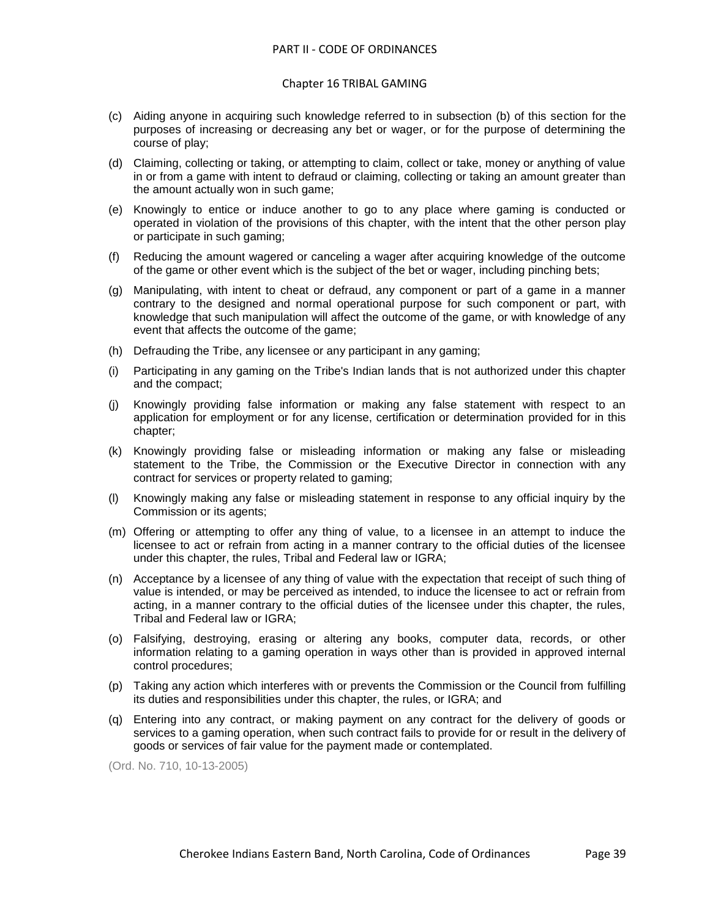#### Chapter 16 TRIBAL GAMING

- (c) Aiding anyone in acquiring such knowledge referred to in subsection (b) of this section for the purposes of increasing or decreasing any bet or wager, or for the purpose of determining the course of play;
- (d) Claiming, collecting or taking, or attempting to claim, collect or take, money or anything of value in or from a game with intent to defraud or claiming, collecting or taking an amount greater than the amount actually won in such game;
- (e) Knowingly to entice or induce another to go to any place where gaming is conducted or operated in violation of the provisions of this chapter, with the intent that the other person play or participate in such gaming;
- (f) Reducing the amount wagered or canceling a wager after acquiring knowledge of the outcome of the game or other event which is the subject of the bet or wager, including pinching bets;
- (g) Manipulating, with intent to cheat or defraud, any component or part of a game in a manner contrary to the designed and normal operational purpose for such component or part, with knowledge that such manipulation will affect the outcome of the game, or with knowledge of any event that affects the outcome of the game;
- (h) Defrauding the Tribe, any licensee or any participant in any gaming;
- (i) Participating in any gaming on the Tribe's Indian lands that is not authorized under this chapter and the compact;
- (j) Knowingly providing false information or making any false statement with respect to an application for employment or for any license, certification or determination provided for in this chapter;
- (k) Knowingly providing false or misleading information or making any false or misleading statement to the Tribe, the Commission or the Executive Director in connection with any contract for services or property related to gaming;
- (l) Knowingly making any false or misleading statement in response to any official inquiry by the Commission or its agents;
- (m) Offering or attempting to offer any thing of value, to a licensee in an attempt to induce the licensee to act or refrain from acting in a manner contrary to the official duties of the licensee under this chapter, the rules, Tribal and Federal law or IGRA;
- (n) Acceptance by a licensee of any thing of value with the expectation that receipt of such thing of value is intended, or may be perceived as intended, to induce the licensee to act or refrain from acting, in a manner contrary to the official duties of the licensee under this chapter, the rules, Tribal and Federal law or IGRA;
- (o) Falsifying, destroying, erasing or altering any books, computer data, records, or other information relating to a gaming operation in ways other than is provided in approved internal control procedures;
- (p) Taking any action which interferes with or prevents the Commission or the Council from fulfilling its duties and responsibilities under this chapter, the rules, or IGRA; and
- (q) Entering into any contract, or making payment on any contract for the delivery of goods or services to a gaming operation, when such contract fails to provide for or result in the delivery of goods or services of fair value for the payment made or contemplated.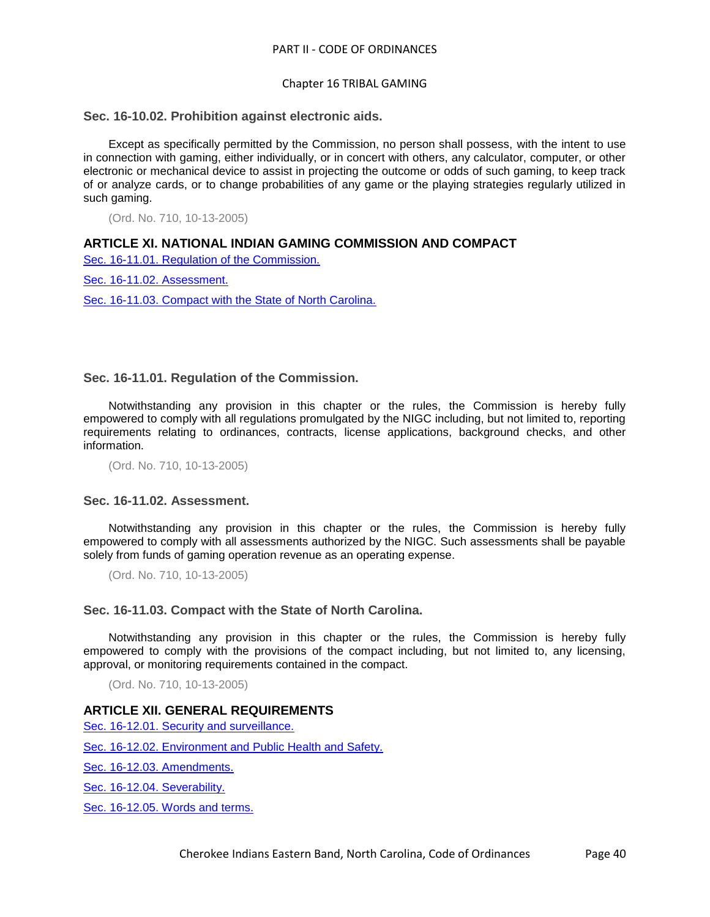#### <span id="page-39-0"></span>**Sec. 16-10.02. Prohibition against electronic aids.**

Except as specifically permitted by the Commission, no person shall possess, with the intent to use in connection with gaming, either individually, or in concert with others, any calculator, computer, or other electronic or mechanical device to assist in projecting the outcome or odds of such gaming, to keep track of or analyze cards, or to change probabilities of any game or the playing strategies regularly utilized in such gaming.

(Ord. No. 710, 10-13-2005)

# **ARTICLE XI. NATIONAL INDIAN GAMING COMMISSION AND COMPACT**

[Sec. 16-11.01. Regulation of the Commission.](#page-39-1)

[Sec. 16-11.02. Assessment.](#page-39-2)

[Sec. 16-11.03. Compact with the State of North Carolina.](#page-39-3)

# <span id="page-39-1"></span>**Sec. 16-11.01. Regulation of the Commission.**

Notwithstanding any provision in this chapter or the rules, the Commission is hereby fully empowered to comply with all regulations promulgated by the NIGC including, but not limited to, reporting requirements relating to ordinances, contracts, license applications, background checks, and other information.

(Ord. No. 710, 10-13-2005)

## <span id="page-39-2"></span>**Sec. 16-11.02. Assessment.**

Notwithstanding any provision in this chapter or the rules, the Commission is hereby fully empowered to comply with all assessments authorized by the NIGC. Such assessments shall be payable solely from funds of gaming operation revenue as an operating expense.

(Ord. No. 710, 10-13-2005)

#### <span id="page-39-3"></span>**Sec. 16-11.03. Compact with the State of North Carolina.**

Notwithstanding any provision in this chapter or the rules, the Commission is hereby fully empowered to comply with the provisions of the compact including, but not limited to, any licensing, approval, or monitoring requirements contained in the compact.

(Ord. No. 710, 10-13-2005)

# **ARTICLE XII. GENERAL REQUIREMENTS**

[Sec. 16-12.01. Security and surveillance.](#page-40-0)

[Sec. 16-12.02. Environment and Public Health and Safety.](#page-40-1)

[Sec. 16-12.03. Amendments.](#page-40-2)

[Sec. 16-12.04. Severability.](#page-40-3)

[Sec. 16-12.05. Words and terms.](#page-41-0)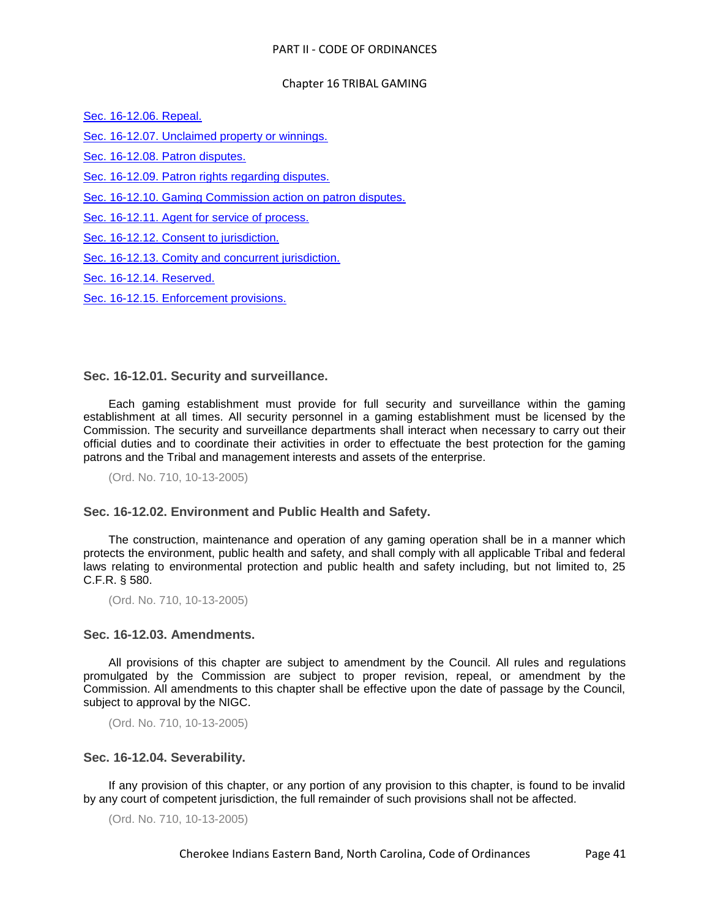[Sec. 16-12.06. Repeal.](#page-41-1)

[Sec. 16-12.07. Unclaimed property or winnings.](#page-41-2)

[Sec. 16-12.08. Patron disputes.](#page-41-3)

[Sec. 16-12.09. Patron rights regarding disputes.](#page-42-0)

[Sec. 16-12.10. Gaming Commission action on patron disputes.](#page-42-1)

[Sec. 16-12.11. Agent for service of process.](#page-42-2)

[Sec. 16-12.12. Consent to jurisdiction.](#page-42-3)

[Sec. 16-12.13. Comity and concurrent jurisdiction.](#page-42-4)

[Sec. 16-12.14. Reserved.](#page-43-0)

[Sec. 16-12.15. Enforcement provisions.](#page-43-1)

# <span id="page-40-0"></span>**Sec. 16-12.01. Security and surveillance.**

Each gaming establishment must provide for full security and surveillance within the gaming establishment at all times. All security personnel in a gaming establishment must be licensed by the Commission. The security and surveillance departments shall interact when necessary to carry out their official duties and to coordinate their activities in order to effectuate the best protection for the gaming patrons and the Tribal and management interests and assets of the enterprise.

(Ord. No. 710, 10-13-2005)

# <span id="page-40-1"></span>**Sec. 16-12.02. Environment and Public Health and Safety.**

The construction, maintenance and operation of any gaming operation shall be in a manner which protects the environment, public health and safety, and shall comply with all applicable Tribal and federal laws relating to environmental protection and public health and safety including, but not limited to, 25 C.F.R. § 580.

(Ord. No. 710, 10-13-2005)

# <span id="page-40-2"></span>**Sec. 16-12.03. Amendments.**

All provisions of this chapter are subject to amendment by the Council. All rules and regulations promulgated by the Commission are subject to proper revision, repeal, or amendment by the Commission. All amendments to this chapter shall be effective upon the date of passage by the Council, subject to approval by the NIGC.

(Ord. No. 710, 10-13-2005)

# <span id="page-40-3"></span>**Sec. 16-12.04. Severability.**

If any provision of this chapter, or any portion of any provision to this chapter, is found to be invalid by any court of competent jurisdiction, the full remainder of such provisions shall not be affected.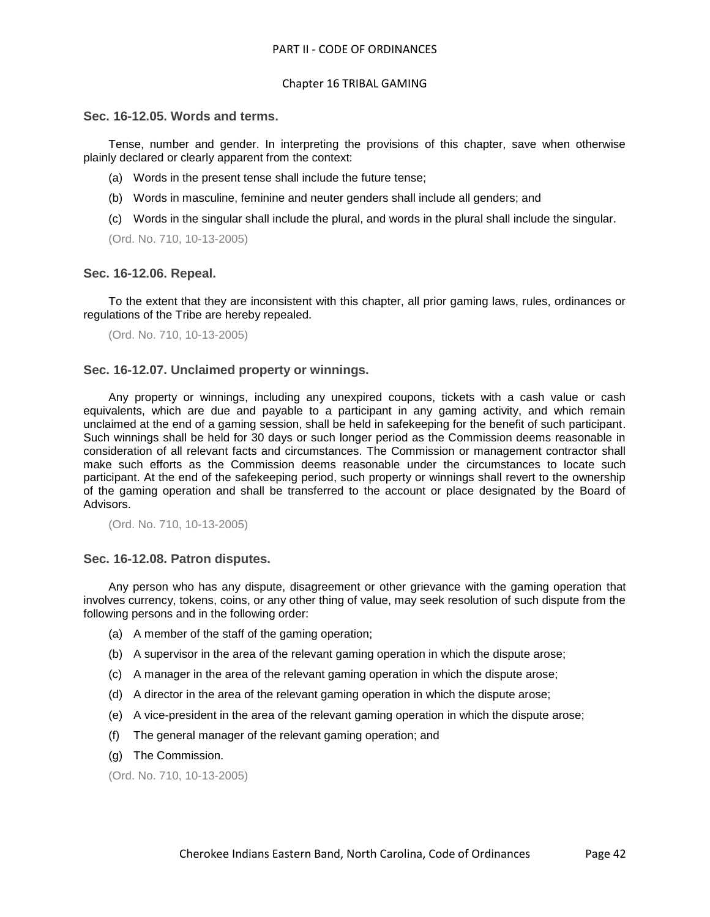#### <span id="page-41-0"></span>**Sec. 16-12.05. Words and terms.**

Tense, number and gender. In interpreting the provisions of this chapter, save when otherwise plainly declared or clearly apparent from the context:

- (a) Words in the present tense shall include the future tense;
- (b) Words in masculine, feminine and neuter genders shall include all genders; and
- (c) Words in the singular shall include the plural, and words in the plural shall include the singular.

(Ord. No. 710, 10-13-2005)

## <span id="page-41-1"></span>**Sec. 16-12.06. Repeal.**

To the extent that they are inconsistent with this chapter, all prior gaming laws, rules, ordinances or regulations of the Tribe are hereby repealed.

(Ord. No. 710, 10-13-2005)

## <span id="page-41-2"></span>**Sec. 16-12.07. Unclaimed property or winnings.**

Any property or winnings, including any unexpired coupons, tickets with a cash value or cash equivalents, which are due and payable to a participant in any gaming activity, and which remain unclaimed at the end of a gaming session, shall be held in safekeeping for the benefit of such participant. Such winnings shall be held for 30 days or such longer period as the Commission deems reasonable in consideration of all relevant facts and circumstances. The Commission or management contractor shall make such efforts as the Commission deems reasonable under the circumstances to locate such participant. At the end of the safekeeping period, such property or winnings shall revert to the ownership of the gaming operation and shall be transferred to the account or place designated by the Board of Advisors.

(Ord. No. 710, 10-13-2005)

#### <span id="page-41-3"></span>**Sec. 16-12.08. Patron disputes.**

Any person who has any dispute, disagreement or other grievance with the gaming operation that involves currency, tokens, coins, or any other thing of value, may seek resolution of such dispute from the following persons and in the following order:

- (a) A member of the staff of the gaming operation;
- (b) A supervisor in the area of the relevant gaming operation in which the dispute arose;
- (c) A manager in the area of the relevant gaming operation in which the dispute arose;
- (d) A director in the area of the relevant gaming operation in which the dispute arose;
- (e) A vice-president in the area of the relevant gaming operation in which the dispute arose;
- (f) The general manager of the relevant gaming operation; and
- (g) The Commission.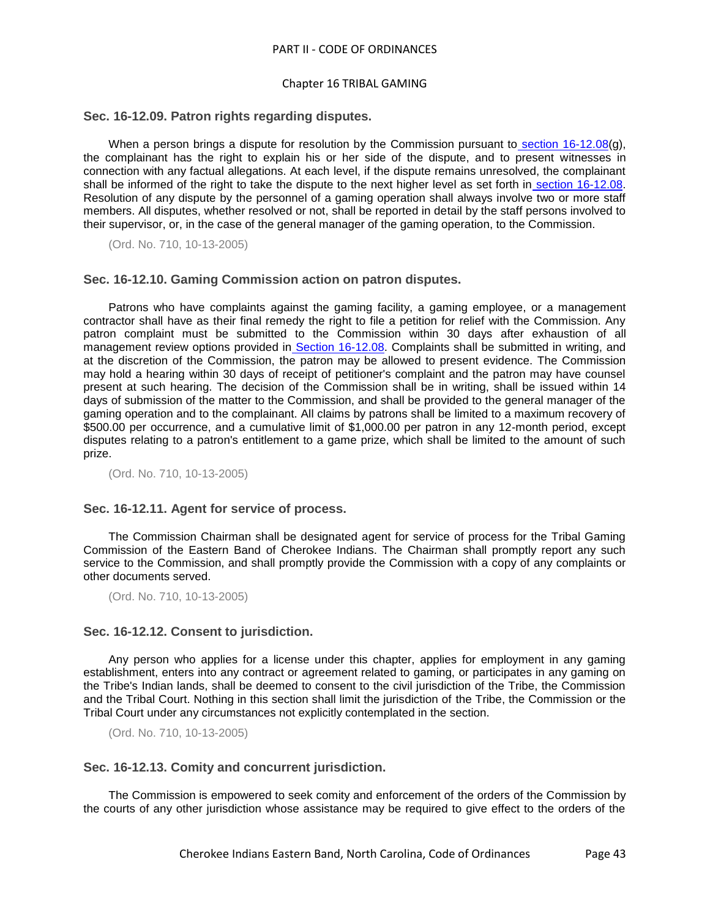#### Chapter 16 TRIBAL GAMING

#### <span id="page-42-0"></span>**Sec. 16-12.09. Patron rights regarding disputes.**

When a person brings a dispute for resolution by the Commission pursuant to [section 16-12.08\(](../level3/PTIICOOR_CH16TRGA_ARTXIIGERE.docx#PTIICOOR_CH16TRGA_ARTXIIGERE_S16-12.08PADI)g), the complainant has the right to explain his or her side of the dispute, and to present witnesses in connection with any factual allegations. At each level, if the dispute remains unresolved, the complainant shall be informed of the right to take the dispute to the next higher level as set forth in [section 16-12.08.](../level3/PTIICOOR_CH16TRGA_ARTXIIGERE.docx#PTIICOOR_CH16TRGA_ARTXIIGERE_S16-12.08PADI) Resolution of any dispute by the personnel of a gaming operation shall always involve two or more staff members. All disputes, whether resolved or not, shall be reported in detail by the staff persons involved to their supervisor, or, in the case of the general manager of the gaming operation, to the Commission.

(Ord. No. 710, 10-13-2005)

#### <span id="page-42-1"></span>**Sec. 16-12.10. Gaming Commission action on patron disputes.**

Patrons who have complaints against the gaming facility, a gaming employee, or a management contractor shall have as their final remedy the right to file a petition for relief with the Commission. Any patron complaint must be submitted to the Commission within 30 days after exhaustion of all management review options provided in [Section 16-12.08.](../level3/PTIICOOR_CH16TRGA_ARTXIIGERE.docx#PTIICOOR_CH16TRGA_ARTXIIGERE_S16-12.08PADI) Complaints shall be submitted in writing, and at the discretion of the Commission, the patron may be allowed to present evidence. The Commission may hold a hearing within 30 days of receipt of petitioner's complaint and the patron may have counsel present at such hearing. The decision of the Commission shall be in writing, shall be issued within 14 days of submission of the matter to the Commission, and shall be provided to the general manager of the gaming operation and to the complainant. All claims by patrons shall be limited to a maximum recovery of \$500.00 per occurrence, and a cumulative limit of \$1,000.00 per patron in any 12-month period, except disputes relating to a patron's entitlement to a game prize, which shall be limited to the amount of such prize.

(Ord. No. 710, 10-13-2005)

#### <span id="page-42-2"></span>**Sec. 16-12.11. Agent for service of process.**

The Commission Chairman shall be designated agent for service of process for the Tribal Gaming Commission of the Eastern Band of Cherokee Indians. The Chairman shall promptly report any such service to the Commission, and shall promptly provide the Commission with a copy of any complaints or other documents served.

(Ord. No. 710, 10-13-2005)

## <span id="page-42-3"></span>**Sec. 16-12.12. Consent to jurisdiction.**

Any person who applies for a license under this chapter, applies for employment in any gaming establishment, enters into any contract or agreement related to gaming, or participates in any gaming on the Tribe's Indian lands, shall be deemed to consent to the civil jurisdiction of the Tribe, the Commission and the Tribal Court. Nothing in this section shall limit the jurisdiction of the Tribe, the Commission or the Tribal Court under any circumstances not explicitly contemplated in the section.

(Ord. No. 710, 10-13-2005)

## <span id="page-42-4"></span>**Sec. 16-12.13. Comity and concurrent jurisdiction.**

The Commission is empowered to seek comity and enforcement of the orders of the Commission by the courts of any other jurisdiction whose assistance may be required to give effect to the orders of the